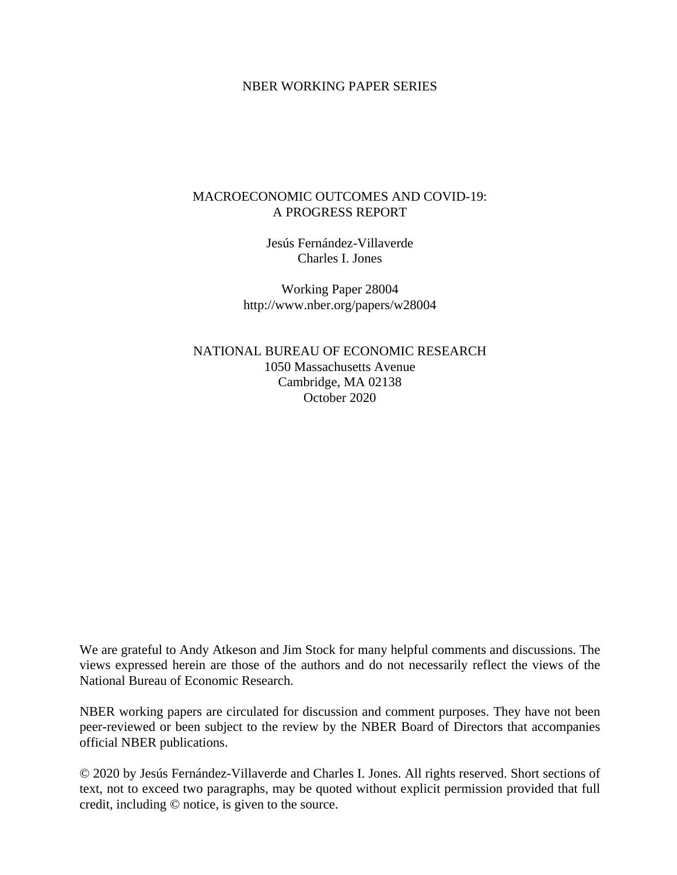### NBER WORKING PAPER SERIES

### MACROECONOMIC OUTCOMES AND COVID-19: A PROGRESS REPORT

Jesús Fernández-Villaverde Charles I. Jones

Working Paper 28004 http://www.nber.org/papers/w28004

NATIONAL BUREAU OF ECONOMIC RESEARCH 1050 Massachusetts Avenue Cambridge, MA 02138 October 2020

We are grateful to Andy Atkeson and Jim Stock for many helpful comments and discussions. The views expressed herein are those of the authors and do not necessarily reflect the views of the National Bureau of Economic Research.

NBER working papers are circulated for discussion and comment purposes. They have not been peer-reviewed or been subject to the review by the NBER Board of Directors that accompanies official NBER publications.

© 2020 by Jesús Fernández-Villaverde and Charles I. Jones. All rights reserved. Short sections of text, not to exceed two paragraphs, may be quoted without explicit permission provided that full credit, including © notice, is given to the source.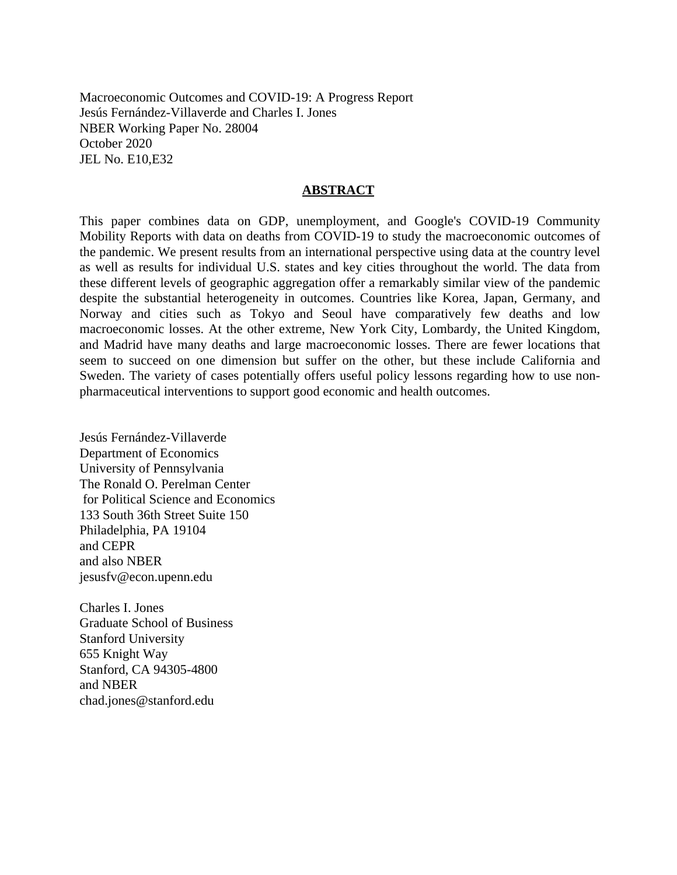Macroeconomic Outcomes and COVID-19: A Progress Report Jesús Fernández-Villaverde and Charles I. Jones NBER Working Paper No. 28004 October 2020 JEL No. E10,E32

#### **ABSTRACT**

This paper combines data on GDP, unemployment, and Google's COVID-19 Community Mobility Reports with data on deaths from COVID-19 to study the macroeconomic outcomes of the pandemic. We present results from an international perspective using data at the country level as well as results for individual U.S. states and key cities throughout the world. The data from these different levels of geographic aggregation offer a remarkably similar view of the pandemic despite the substantial heterogeneity in outcomes. Countries like Korea, Japan, Germany, and Norway and cities such as Tokyo and Seoul have comparatively few deaths and low macroeconomic losses. At the other extreme, New York City, Lombardy, the United Kingdom, and Madrid have many deaths and large macroeconomic losses. There are fewer locations that seem to succeed on one dimension but suffer on the other, but these include California and Sweden. The variety of cases potentially offers useful policy lessons regarding how to use nonpharmaceutical interventions to support good economic and health outcomes.

Jesús Fernández-Villaverde Department of Economics University of Pennsylvania The Ronald O. Perelman Center for Political Science and Economics 133 South 36th Street Suite 150 Philadelphia, PA 19104 and CEPR and also NBER jesusfv@econ.upenn.edu

Charles I. Jones Graduate School of Business Stanford University 655 Knight Way Stanford, CA 94305-4800 and NBER chad.jones@stanford.edu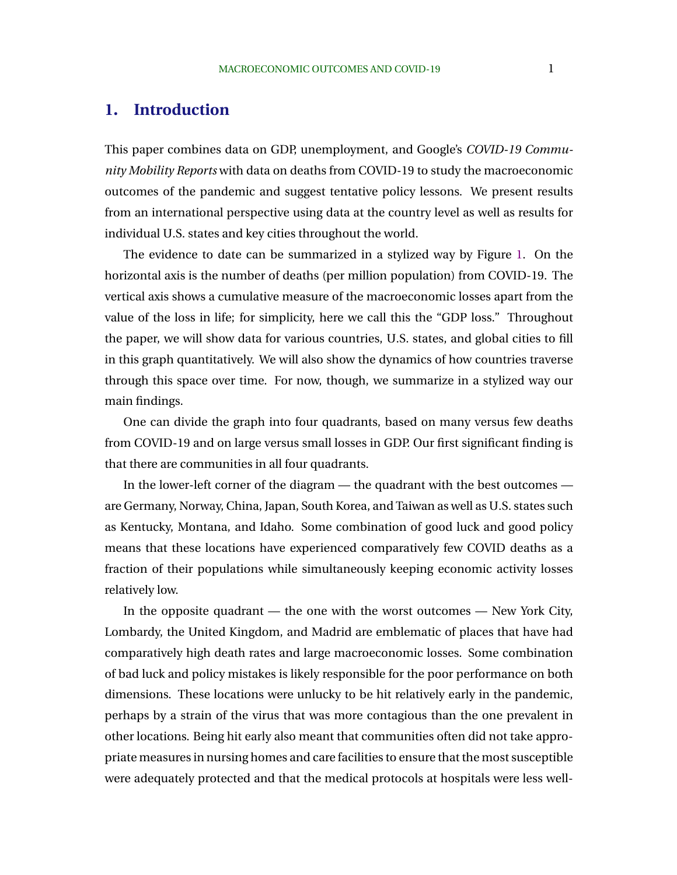## **1. Introduction**

This paper combines data on GDP, unemployment, and Google's *COVID-19 Community Mobility Reports* with data on deaths from COVID-19 to study the macroeconomic outcomes of the pandemic and suggest tentative policy lessons. We present results from an international perspective using data at the country level as well as results for individual U.S. states and key cities throughout the world.

The evidence to date can be summarized in a stylized way by Figure [1.](#page-3-0) On the horizontal axis is the number of deaths (per million population) from COVID-19. The vertical axis shows a cumulative measure of the macroeconomic losses apart from the value of the loss in life; for simplicity, here we call this the "GDP loss." Throughout the paper, we will show data for various countries, U.S. states, and global cities to fill in this graph quantitatively. We will also show the dynamics of how countries traverse through this space over time. For now, though, we summarize in a stylized way our main findings.

One can divide the graph into four quadrants, based on many versus few deaths from COVID-19 and on large versus small losses in GDP. Our first significant finding is that there are communities in all four quadrants.

In the lower-left corner of the diagram — the quadrant with the best outcomes are Germany, Norway, China, Japan, South Korea, and Taiwan as well as U.S. states such as Kentucky, Montana, and Idaho. Some combination of good luck and good policy means that these locations have experienced comparatively few COVID deaths as a fraction of their populations while simultaneously keeping economic activity losses relatively low.

In the opposite quadrant — the one with the worst outcomes — New York City, Lombardy, the United Kingdom, and Madrid are emblematic of places that have had comparatively high death rates and large macroeconomic losses. Some combination of bad luck and policy mistakes is likely responsible for the poor performance on both dimensions. These locations were unlucky to be hit relatively early in the pandemic, perhaps by a strain of the virus that was more contagious than the one prevalent in other locations. Being hit early also meant that communities often did not take appropriate measures in nursing homes and care facilities to ensure that the most susceptible were adequately protected and that the medical protocols at hospitals were less well-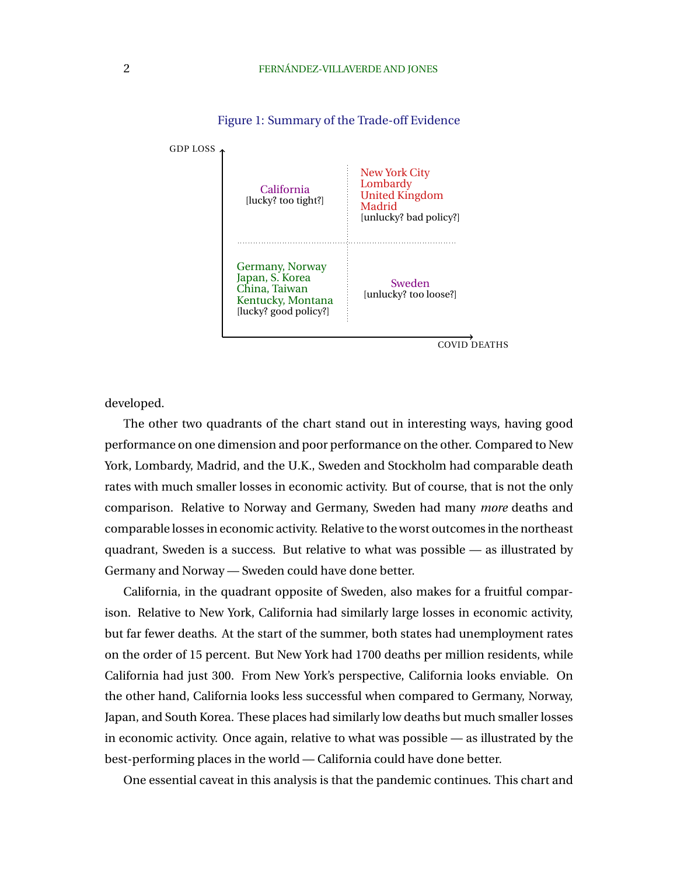<span id="page-3-0"></span>

Figure 1: Summary of the Trade-off Evidence

developed.

The other two quadrants of the chart stand out in interesting ways, having good performance on one dimension and poor performance on the other. Compared to New York, Lombardy, Madrid, and the U.K., Sweden and Stockholm had comparable death rates with much smaller losses in economic activity. But of course, that is not the only comparison. Relative to Norway and Germany, Sweden had many *more* deaths and comparable losses in economic activity. Relative to the worst outcomes in the northeast quadrant, Sweden is a success. But relative to what was possible — as illustrated by Germany and Norway — Sweden could have done better.

California, in the quadrant opposite of Sweden, also makes for a fruitful comparison. Relative to New York, California had similarly large losses in economic activity, but far fewer deaths. At the start of the summer, both states had unemployment rates on the order of 15 percent. But New York had 1700 deaths per million residents, while California had just 300. From New York's perspective, California looks enviable. On the other hand, California looks less successful when compared to Germany, Norway, Japan, and South Korea. These places had similarly low deaths but much smaller losses in economic activity. Once again, relative to what was possible — as illustrated by the best-performing places in the world — California could have done better.

One essential caveat in this analysis is that the pandemic continues. This chart and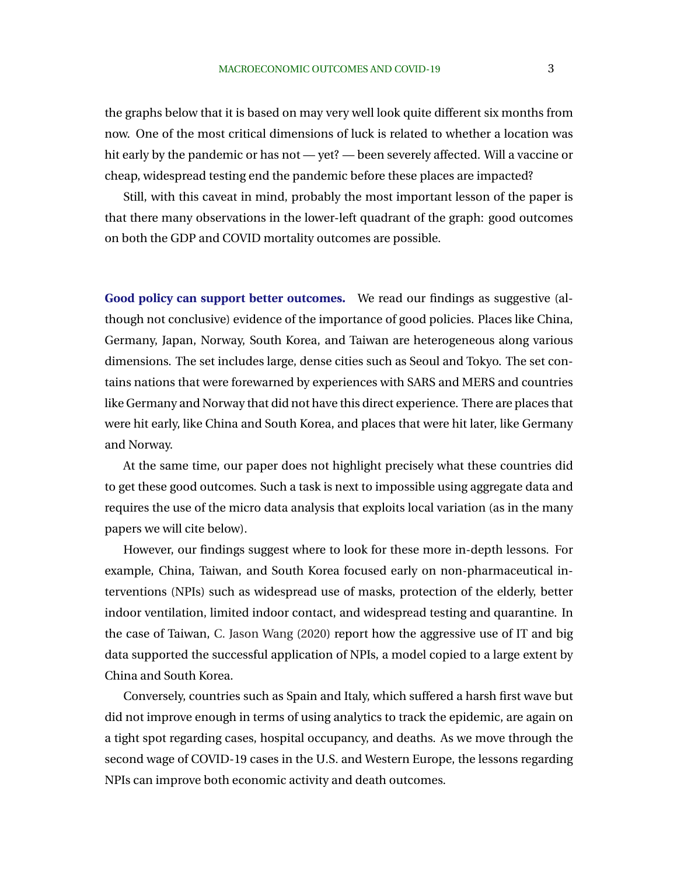the graphs below that it is based on may very well look quite different six months from now. One of the most critical dimensions of luck is related to whether a location was hit early by the pandemic or has not — yet? — been severely affected. Will a vaccine or cheap, widespread testing end the pandemic before these places are impacted?

Still, with this caveat in mind, probably the most important lesson of the paper is that there many observations in the lower-left quadrant of the graph: good outcomes on both the GDP and COVID mortality outcomes are possible.

**Good policy can support better outcomes.** We read our findings as suggestive (although not conclusive) evidence of the importance of good policies. Places like China, Germany, Japan, Norway, South Korea, and Taiwan are heterogeneous along various dimensions. The set includes large, dense cities such as Seoul and Tokyo. The set contains nations that were forewarned by experiences with SARS and MERS and countries like Germany and Norway that did not have this direct experience. There are places that were hit early, like China and South Korea, and places that were hit later, like Germany and Norway.

At the same time, our paper does not highlight precisely what these countries did to get these good outcomes. Such a task is next to impossible using aggregate data and requires the use of the micro data analysis that exploits local variation (as in the many papers we will cite below).

However, our findings suggest where to look for these more in-depth lessons. For example, China, Taiwan, and South Korea focused early on non-pharmaceutical interventions (NPIs) such as widespread use of masks, protection of the elderly, better indoor ventilation, limited indoor contact, and widespread testing and quarantine. In the case of Taiwan, [C. Jason Wang](#page-39-0) [\(2020\)](#page-39-0) report how the aggressive use of IT and big data supported the successful application of NPIs, a model copied to a large extent by China and South Korea.

Conversely, countries such as Spain and Italy, which suffered a harsh first wave but did not improve enough in terms of using analytics to track the epidemic, are again on a tight spot regarding cases, hospital occupancy, and deaths. As we move through the second wage of COVID-19 cases in the U.S. and Western Europe, the lessons regarding NPIs can improve both economic activity and death outcomes.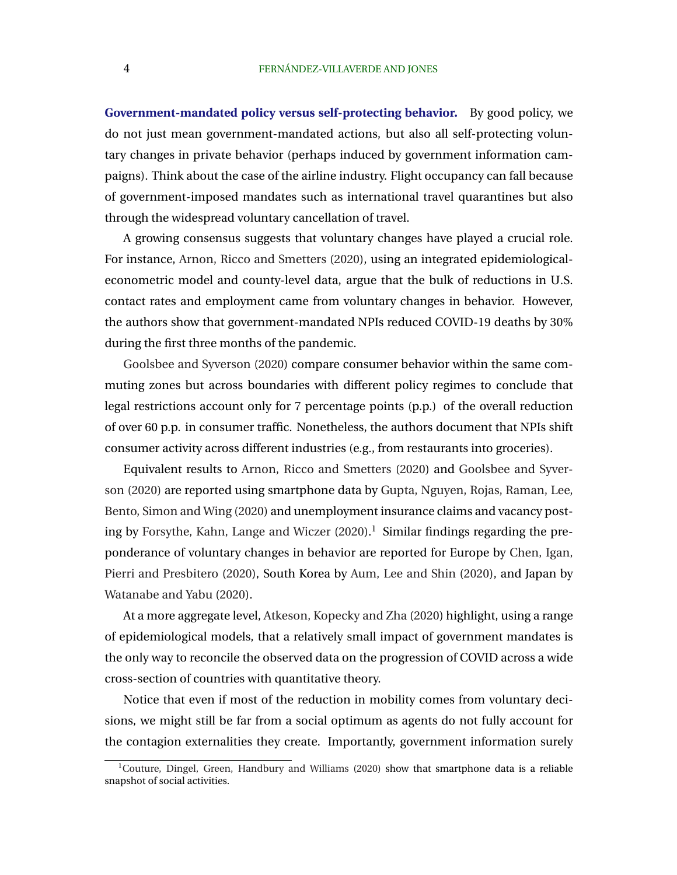**Government-mandated policy versus self-protecting behavior.** By good policy, we do not just mean government-mandated actions, but also all self-protecting voluntary changes in private behavior (perhaps induced by government information campaigns). Think about the case of the airline industry. Flight occupancy can fall because of government-imposed mandates such as international travel quarantines but also through the widespread voluntary cancellation of travel.

A growing consensus suggests that voluntary changes have played a crucial role. For instance, [Arnon, Ricco and Smetters](#page-36-0) [\(2020\)](#page-36-0), using an integrated epidemiologicaleconometric model and county-level data, argue that the bulk of reductions in U.S. contact rates and employment came from voluntary changes in behavior. However, the authors show that government-mandated NPIs reduced COVID-19 deaths by 30% during the first three months of the pandemic.

[Goolsbee and Syverson](#page-38-0) [\(2020\)](#page-38-0) compare consumer behavior within the same commuting zones but across boundaries with different policy regimes to conclude that legal restrictions account only for 7 percentage points (p.p.) of the overall reduction of over 60 p.p. in consumer traffic. Nonetheless, the authors document that NPIs shift consumer activity across different industries (e.g., from restaurants into groceries).

Equivalent results to [Arnon, Ricco and Smetters](#page-36-0) [\(2020\)](#page-36-0) and [Goolsbee and Syver](#page-38-0)[son](#page-38-0) [\(2020\)](#page-38-0) are reported using smartphone data by [Gupta, Nguyen, Rojas, Raman, Lee,](#page-38-0) [Bento, Simon and Wing](#page-38-0) [\(2020\)](#page-38-0) and unemployment insurance claims and vacancy post-ing by [Forsythe, Kahn, Lange and Wiczer](#page-37-0)  $(2020).<sup>1</sup>$  $(2020).<sup>1</sup>$  Similar findings regarding the preponderance of voluntary changes in behavior are reported for Europe by [Chen, Igan,](#page-37-0) [Pierri and Presbitero](#page-37-0) [\(2020\)](#page-37-0), South Korea by [Aum, Lee and Shin](#page-36-0) [\(2020\)](#page-36-0), and Japan by [Watanabe and Yabu](#page-39-0) [\(2020\)](#page-39-0).

At a more aggregate level, [Atkeson, Kopecky and Zha](#page-36-0) [\(2020\)](#page-36-0) highlight, using a range of epidemiological models, that a relatively small impact of government mandates is the only way to reconcile the observed data on the progression of COVID across a wide cross-section of countries with quantitative theory.

Notice that even if most of the reduction in mobility comes from voluntary decisions, we might still be far from a social optimum as agents do not fully account for the contagion externalities they create. Importantly, government information surely

 $1$ [Couture, Dingel, Green, Handbury and Williams](#page-37-0) [\(2020\)](#page-37-0) show that smartphone data is a reliable snapshot of social activities.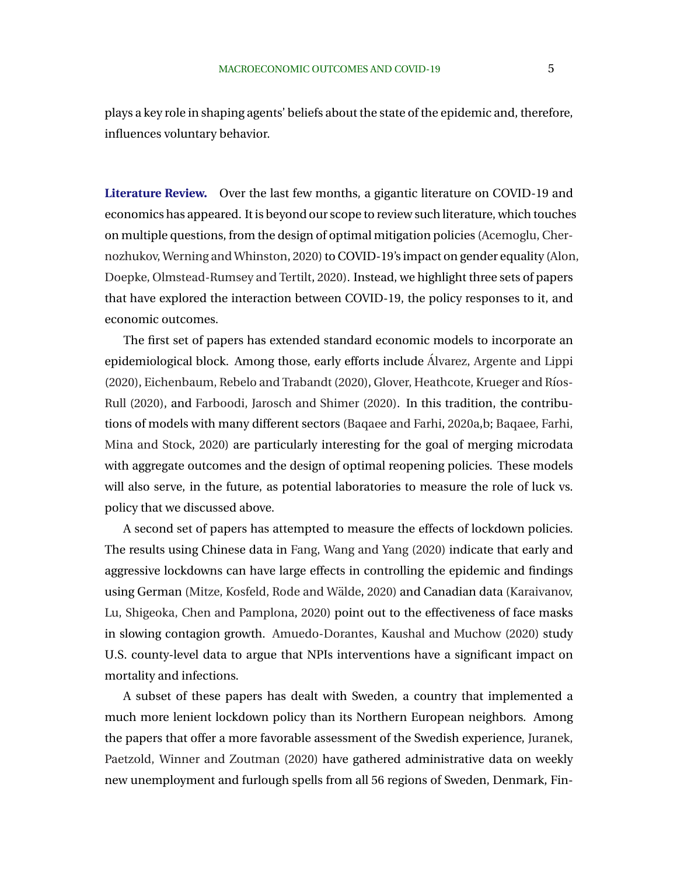plays a key role in shaping agents' beliefs about the state of the epidemic and, therefore, influences voluntary behavior.

**Literature Review.** Over the last few months, a gigantic literature on COVID-19 and economics has appeared. It is beyond our scope to review such literature, which touches on multiple questions, from the design of optimal mitigation policies [\(Acemoglu, Cher](#page-36-0)[nozhukov, Werning and Whinston,](#page-36-0) [2020\)](#page-36-0) to COVID-19's impact on gender equality [\(Alon](#page-36-0), [Doepke, Olmstead-Rumsey and Tertilt,](#page-36-0) [2020\)](#page-36-0). Instead, we highlight three sets of papers that have explored the interaction between COVID-19, the policy responses to it, and economic outcomes.

The first set of papers has extended standard economic models to incorporate an epidemiological block. Among those, early efforts include [Alvarez, Argente and Lippi](#page-36-0) ´ [\(2020\)](#page-37-0), [Eichenbaum, Rebelo and Trabandt](#page-37-0) (2020), Glover, Heathcote, Krueger and Ríos-[Rull](#page-38-0) [\(2020\)](#page-38-0), and [Farboodi, Jarosch and Shimer](#page-37-0) [\(2020\)](#page-37-0). In this tradition, the contributions of models with many different sectors [\(Baqaee and Farhi,](#page-36-0) [2020a,b;](#page-36-0) [Baqaee, Farhi,](#page-36-0) [Mina and Stock,](#page-36-0) [2020\)](#page-36-0) are particularly interesting for the goal of merging microdata with aggregate outcomes and the design of optimal reopening policies. These models will also serve, in the future, as potential laboratories to measure the role of luck vs. policy that we discussed above.

A second set of papers has attempted to measure the effects of lockdown policies. The results using Chinese data in [Fang, Wang and Yang](#page-37-0) [\(2020\)](#page-37-0) indicate that early and aggressive lockdowns can have large effects in controlling the epidemic and findings using German (Mitze, Kosfeld, Rode and Wälde, [2020\)](#page-39-0) and Canadian data [\(Karaivanov,](#page-38-0) [Lu, Shigeoka, Chen and Pamplona,](#page-38-0) [2020\)](#page-38-0) point out to the effectiveness of face masks in slowing contagion growth. [Amuedo-Dorantes, Kaushal and Muchow](#page-36-0) [\(2020\)](#page-36-0) study U.S. county-level data to argue that NPIs interventions have a significant impact on mortality and infections.

A subset of these papers has dealt with Sweden, a country that implemented a much more lenient lockdown policy than its Northern European neighbors. Among the papers that offer a more favorable assessment of the Swedish experience, [Juranek,](#page-38-0) [Paetzold, Winner and Zoutman](#page-38-0) [\(2020\)](#page-38-0) have gathered administrative data on weekly new unemployment and furlough spells from all 56 regions of Sweden, Denmark, Fin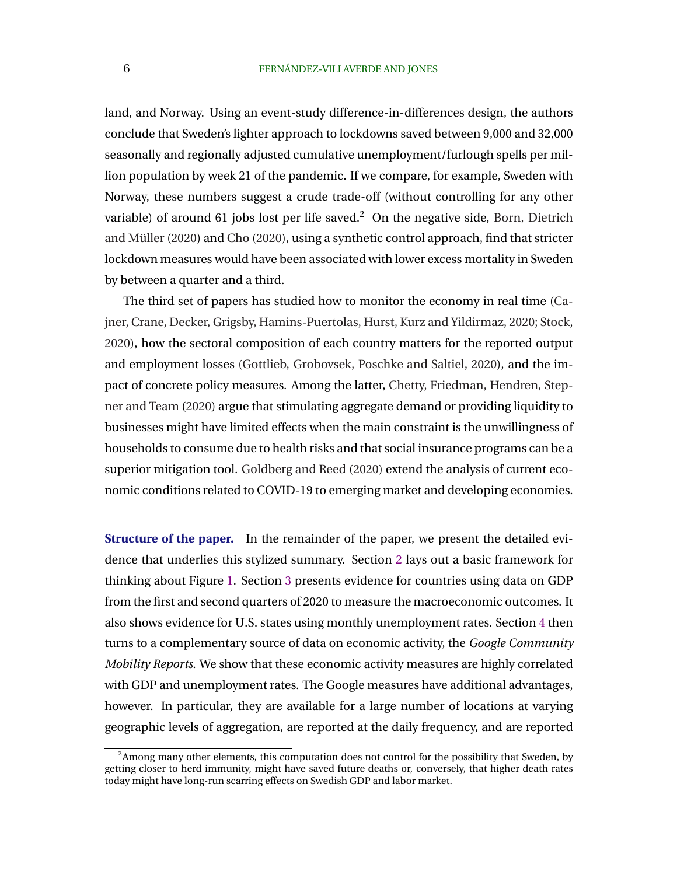land, and Norway. Using an event-study difference-in-differences design, the authors conclude that Sweden's lighter approach to lockdowns saved between 9,000 and 32,000 seasonally and regionally adjusted cumulative unemployment/furlough spells per million population by week 21 of the pandemic. If we compare, for example, Sweden with Norway, these numbers suggest a crude trade-off (without controlling for any other variable) of around 61 jobs lost per life saved.<sup>2</sup> On the negative side, [Born, Dietrich](#page-36-0) and Müller  $(2020)$  and [Cho](#page-37-0)  $(2020)$ , using a synthetic control approach, find that stricter lockdown measures would have been associated with lower excess mortality in Sweden by between a quarter and a third.

The third set of papers has studied how to monitor the economy in real time [\(Ca](#page-37-0)[jner, Crane, Decker, Grigsby, Hamins-Puertolas, Hurst, Kurz and Yildirmaz,](#page-37-0) [2020;](#page-37-0) [Stock,](#page-39-0) [2020\)](#page-39-0), how the sectoral composition of each country matters for the reported output and employment losses [\(Gottlieb, Grobovsek, Poschke and Saltiel,](#page-38-0) [2020\)](#page-38-0), and the impact of concrete policy measures. Among the latter, [Chetty, Friedman, Hendren, Step](#page-37-0)[ner and Team](#page-37-0) [\(2020\)](#page-37-0) argue that stimulating aggregate demand or providing liquidity to businesses might have limited effects when the main constraint is the unwillingness of households to consume due to health risks and that social insurance programs can be a superior mitigation tool. [Goldberg and Reed](#page-38-0) [\(2020\)](#page-38-0) extend the analysis of current economic conditions related to COVID-19 to emerging market and developing economies.

**Structure of the paper.** In the remainder of the paper, we present the detailed evidence that underlies this stylized summary. Section [2](#page-9-0) lays out a basic framework for thinking about Figure [1.](#page-3-0) Section [3](#page-13-0) presents evidence for countries using data on GDP from the first and second quarters of 2020 to measure the macroeconomic outcomes. It also shows evidence for U.S. states using monthly unemployment rates. Section [4](#page-19-0) then turns to a complementary source of data on economic activity, the *Google Community Mobility Reports*. We show that these economic activity measures are highly correlated with GDP and unemployment rates. The Google measures have additional advantages, however. In particular, they are available for a large number of locations at varying geographic levels of aggregation, are reported at the daily frequency, and are reported

<sup>&</sup>lt;sup>2</sup>Among many other elements, this computation does not control for the possibility that Sweden, by getting closer to herd immunity, might have saved future deaths or, conversely, that higher death rates today might have long-run scarring effects on Swedish GDP and labor market.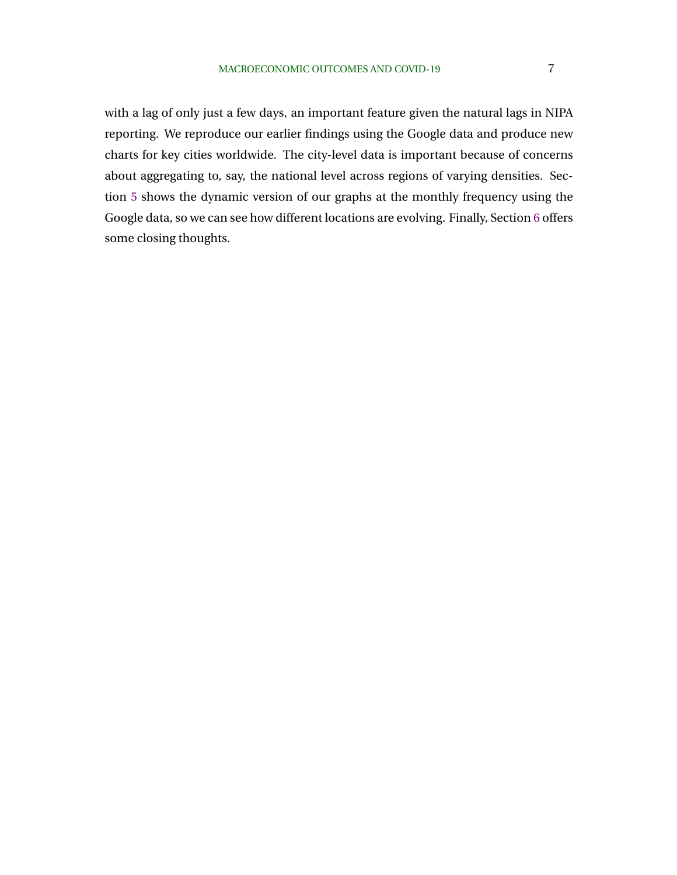with a lag of only just a few days, an important feature given the natural lags in NIPA reporting. We reproduce our earlier findings using the Google data and produce new charts for key cities worldwide. The city-level data is important because of concerns about aggregating to, say, the national level across regions of varying densities. Section [5](#page-29-0) shows the dynamic version of our graphs at the monthly frequency using the Google data, so we can see how different locations are evolving. Finally, Section [6](#page-34-0) offers some closing thoughts.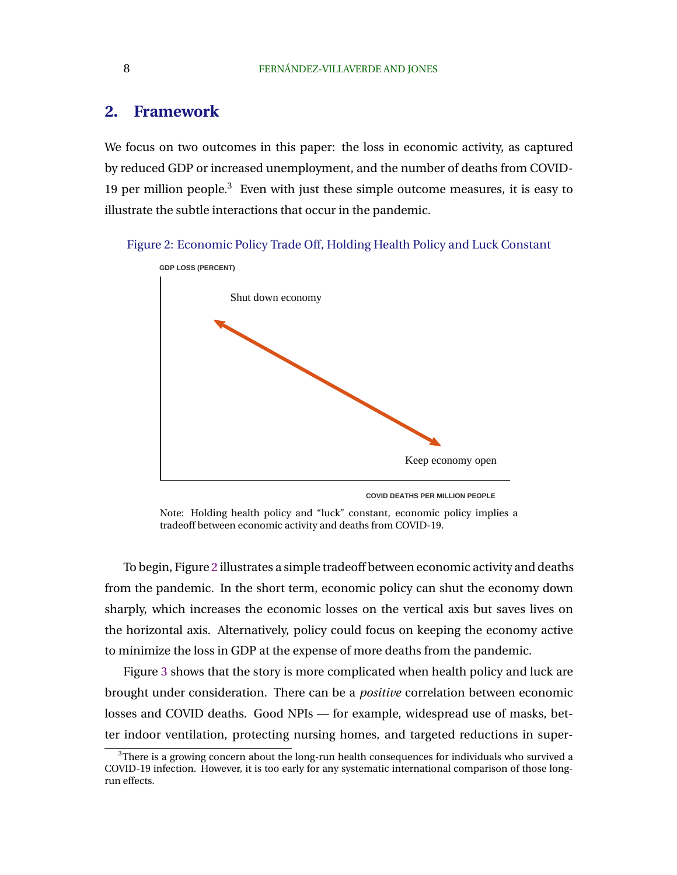## <span id="page-9-0"></span>**2. Framework**

We focus on two outcomes in this paper: the loss in economic activity, as captured by reduced GDP or increased unemployment, and the number of deaths from COVID-19 per million people.<sup>3</sup> Even with just these simple outcome measures, it is easy to illustrate the subtle interactions that occur in the pandemic.

Figure 2: Economic Policy Trade Off, Holding Health Policy and Luck Constant



**COVID DEATHS PER MILLION PEOPLE**

Note: Holding health policy and "luck" constant, economic policy implies a tradeoff between economic activity and deaths from COVID-19.

To begin, Figure 2 illustrates a simple tradeoff between economic activity and deaths from the pandemic. In the short term, economic policy can shut the economy down sharply, which increases the economic losses on the vertical axis but saves lives on the horizontal axis. Alternatively, policy could focus on keeping the economy active to minimize the loss in GDP at the expense of more deaths from the pandemic.

Figure [3](#page-10-0) shows that the story is more complicated when health policy and luck are brought under consideration. There can be a *positive* correlation between economic losses and COVID deaths. Good NPIs — for example, widespread use of masks, better indoor ventilation, protecting nursing homes, and targeted reductions in super-

 $3$ There is a growing concern about the long-run health consequences for individuals who survived a COVID-19 infection. However, it is too early for any systematic international comparison of those longrun effects.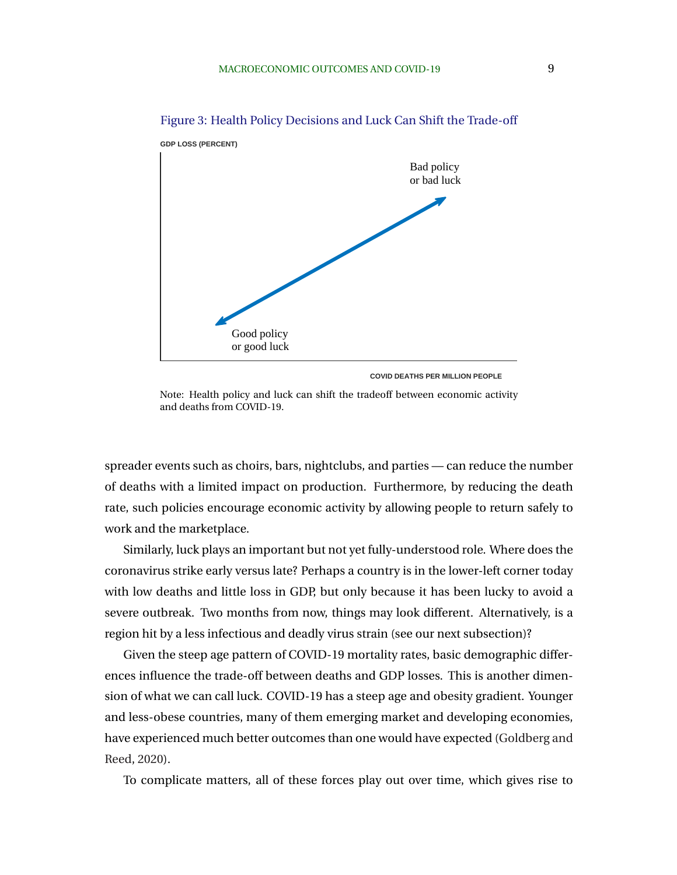

<span id="page-10-0"></span>Figure 3: Health Policy Decisions and Luck Can Shift the Trade-off

 **GDP LOSS (PERCENT)**

**COVID DEATHS PER MILLION PEOPLE**

Note: Health policy and luck can shift the tradeoff between economic activity and deaths from COVID-19.

spreader events such as choirs, bars, nightclubs, and parties — can reduce the number of deaths with a limited impact on production. Furthermore, by reducing the death rate, such policies encourage economic activity by allowing people to return safely to work and the marketplace.

Similarly, luck plays an important but not yet fully-understood role. Where does the coronavirus strike early versus late? Perhaps a country is in the lower-left corner today with low deaths and little loss in GDP, but only because it has been lucky to avoid a severe outbreak. Two months from now, things may look different. Alternatively, is a region hit by a less infectious and deadly virus strain (see our next subsection)?

Given the steep age pattern of COVID-19 mortality rates, basic demographic differences influence the trade-off between deaths and GDP losses. This is another dimension of what we can call luck. COVID-19 has a steep age and obesity gradient. Younger and less-obese countries, many of them emerging market and developing economies, have experienced much better outcomes than one would have expected [\(Goldberg and](#page-38-0) [Reed,](#page-38-0) [2020\)](#page-38-0).

To complicate matters, all of these forces play out over time, which gives rise to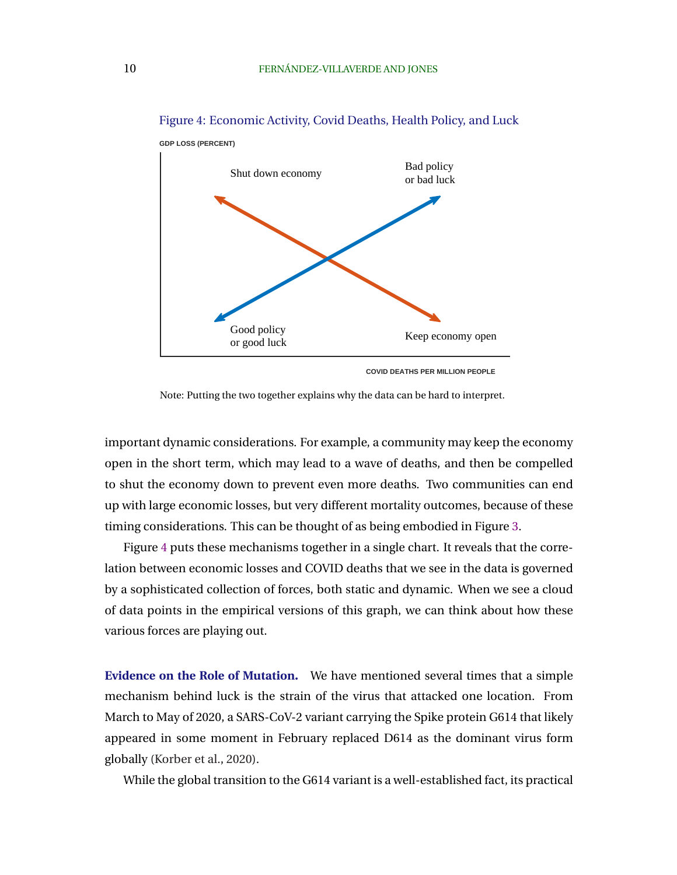

Figure 4: Economic Activity, Covid Deaths, Health Policy, and Luck

**COVID DEATHS PER MILLION PEOPLE**

Note: Putting the two together explains why the data can be hard to interpret.

important dynamic considerations. For example, a community may keep the economy open in the short term, which may lead to a wave of deaths, and then be compelled to shut the economy down to prevent even more deaths. Two communities can end up with large economic losses, but very different mortality outcomes, because of these timing considerations. This can be thought of as being embodied in Figure [3.](#page-10-0)

Figure 4 puts these mechanisms together in a single chart. It reveals that the correlation between economic losses and COVID deaths that we see in the data is governed by a sophisticated collection of forces, both static and dynamic. When we see a cloud of data points in the empirical versions of this graph, we can think about how these various forces are playing out.

**Evidence on the Role of Mutation.** We have mentioned several times that a simple mechanism behind luck is the strain of the virus that attacked one location. From March to May of 2020, a SARS-CoV-2 variant carrying the Spike protein G614 that likely appeared in some moment in February replaced D614 as the dominant virus form globally [\(Korber et al.,](#page-39-0) [2020\)](#page-39-0).

While the global transition to the G614 variant is a well-established fact, its practical

 **GDP LOSS (PERCENT)**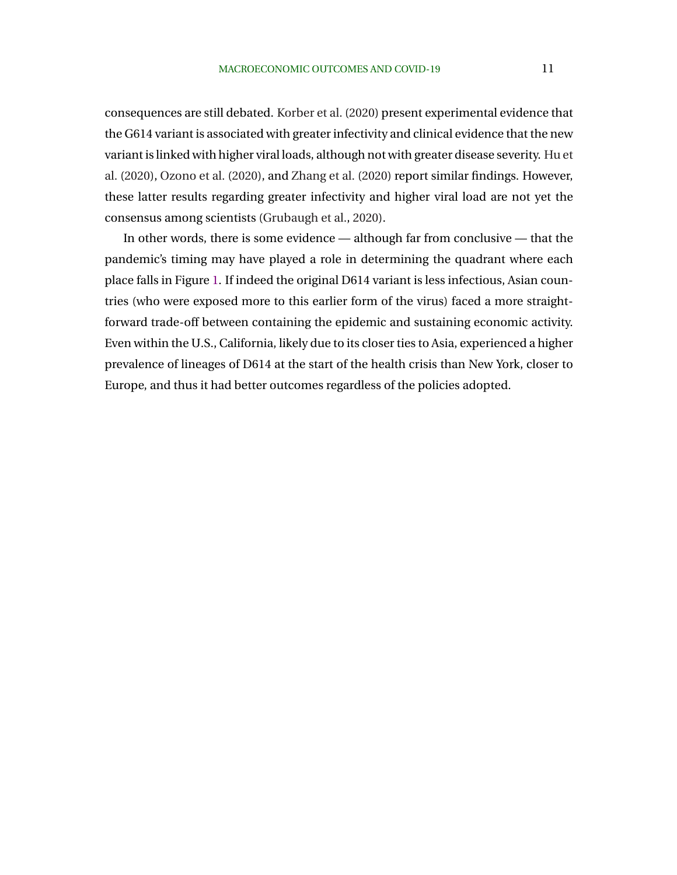consequences are still debated. [Korber et al.](#page-39-0) [\(2020\)](#page-39-0) present experimental evidence that the G614 variant is associated with greater infectivity and clinical evidence that the new variant is linked with higher viral loads, although not with greater disease severity. [Hu et](#page-38-0) [al.](#page-38-0) [\(2020\)](#page-38-0), [Ozono et al.](#page-39-0) [\(2020\)](#page-39-0), and [Zhang et al.](#page-39-0) [\(2020\)](#page-39-0) report similar findings. However, these latter results regarding greater infectivity and higher viral load are not yet the consensus among scientists [\(Grubaugh et al.,](#page-38-0) [2020\)](#page-38-0).

In other words, there is some evidence — although far from conclusive — that the pandemic's timing may have played a role in determining the quadrant where each place falls in Figure [1.](#page-3-0) If indeed the original D614 variant is less infectious, Asian countries (who were exposed more to this earlier form of the virus) faced a more straightforward trade-off between containing the epidemic and sustaining economic activity. Even within the U.S., California, likely due to its closer ties to Asia, experienced a higher prevalence of lineages of D614 at the start of the health crisis than New York, closer to Europe, and thus it had better outcomes regardless of the policies adopted.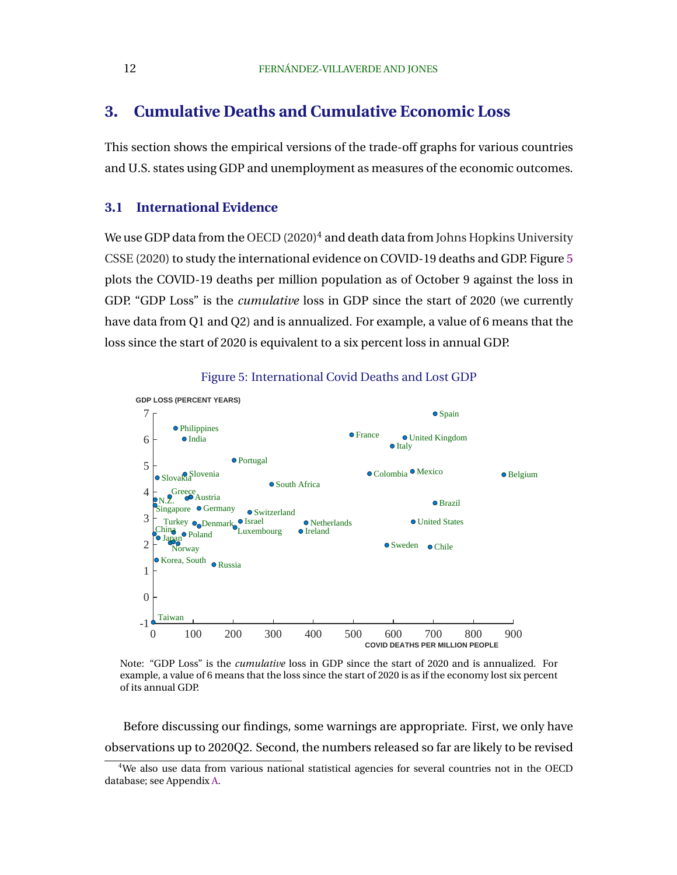## <span id="page-13-0"></span>**3. Cumulative Deaths and Cumulative Economic Loss**

This section shows the empirical versions of the trade-off graphs for various countries and U.S. states using GDP and unemployment as measures of the economic outcomes.

### **3.1 International Evidence**

We use GDP data from the [OECD](#page-39-0) [\(2020\)](#page-39-0)<sup>4</sup> and death data from [Johns Hopkins University](#page-38-0) [CSSE](#page-38-0) [\(2020\)](#page-38-0) to study the international evidence on COVID-19 deaths and GDP. Figure 5 plots the COVID-19 deaths per million population as of October 9 against the loss in GDP. "GDP Loss" is the *cumulative* loss in GDP since the start of 2020 (we currently have data from Q1 and Q2) and is annualized. For example, a value of 6 means that the loss since the start of 2020 is equivalent to a six percent loss in annual GDP.



Figure 5: International Covid Deaths and Lost GDP

Note: "GDP Loss" is the *cumulative* loss in GDP since the start of 2020 and is annualized. For example, a value of 6 means that the loss since the start of 2020 is as if the economy lost six percent of its annual GDP.

Before discussing our findings, some warnings are appropriate. First, we only have observations up to 2020Q2. Second, the numbers released so far are likely to be revised

<sup>&</sup>lt;sup>4</sup>We also use data from various national statistical agencies for several countries not in the OECD database; see Appendix [A.](#page-40-0)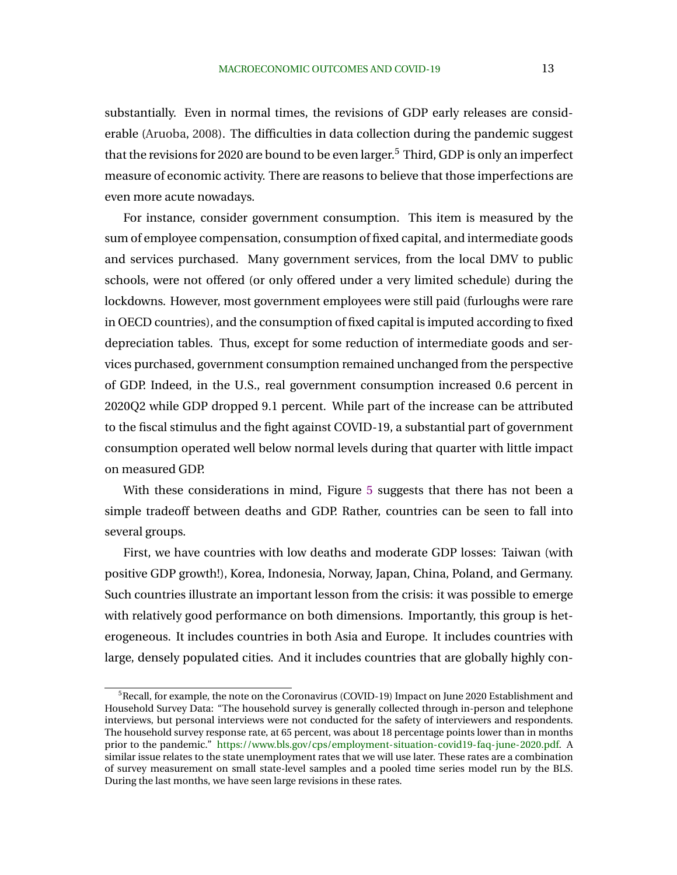substantially. Even in normal times, the revisions of GDP early releases are considerable [\(Aruoba,](#page-36-0) [2008\)](#page-36-0). The difficulties in data collection during the pandemic suggest that the revisions for 2020 are bound to be even larger.<sup>5</sup> Third, GDP is only an imperfect measure of economic activity. There are reasons to believe that those imperfections are even more acute nowadays.

For instance, consider government consumption. This item is measured by the sum of employee compensation, consumption of fixed capital, and intermediate goods and services purchased. Many government services, from the local DMV to public schools, were not offered (or only offered under a very limited schedule) during the lockdowns. However, most government employees were still paid (furloughs were rare in OECD countries), and the consumption of fixed capital is imputed according to fixed depreciation tables. Thus, except for some reduction of intermediate goods and services purchased, government consumption remained unchanged from the perspective of GDP. Indeed, in the U.S., real government consumption increased 0.6 percent in 2020Q2 while GDP dropped 9.1 percent. While part of the increase can be attributed to the fiscal stimulus and the fight against COVID-19, a substantial part of government consumption operated well below normal levels during that quarter with little impact on measured GDP.

With these considerations in mind, Figure [5](#page-13-0) suggests that there has not been a simple tradeoff between deaths and GDP. Rather, countries can be seen to fall into several groups.

First, we have countries with low deaths and moderate GDP losses: Taiwan (with positive GDP growth!), Korea, Indonesia, Norway, Japan, China, Poland, and Germany. Such countries illustrate an important lesson from the crisis: it was possible to emerge with relatively good performance on both dimensions. Importantly, this group is heterogeneous. It includes countries in both Asia and Europe. It includes countries with large, densely populated cities. And it includes countries that are globally highly con-

 $5$ Recall, for example, the note on the Coronavirus (COVID-19) Impact on June 2020 Establishment and Household Survey Data: "The household survey is generally collected through in-person and telephone interviews, but personal interviews were not conducted for the safety of interviewers and respondents. The household survey response rate, at 65 percent, was about 18 percentage points lower than in months prior to the pandemic." [https://www.bls.gov/cps/employment-situation-covid19-faq-june-2020.pdf.](https://www.bls.gov/cps/employment-situation-covid19-faq-june-2020.pdf) A similar issue relates to the state unemployment rates that we will use later. These rates are a combination of survey measurement on small state-level samples and a pooled time series model run by the BLS. During the last months, we have seen large revisions in these rates.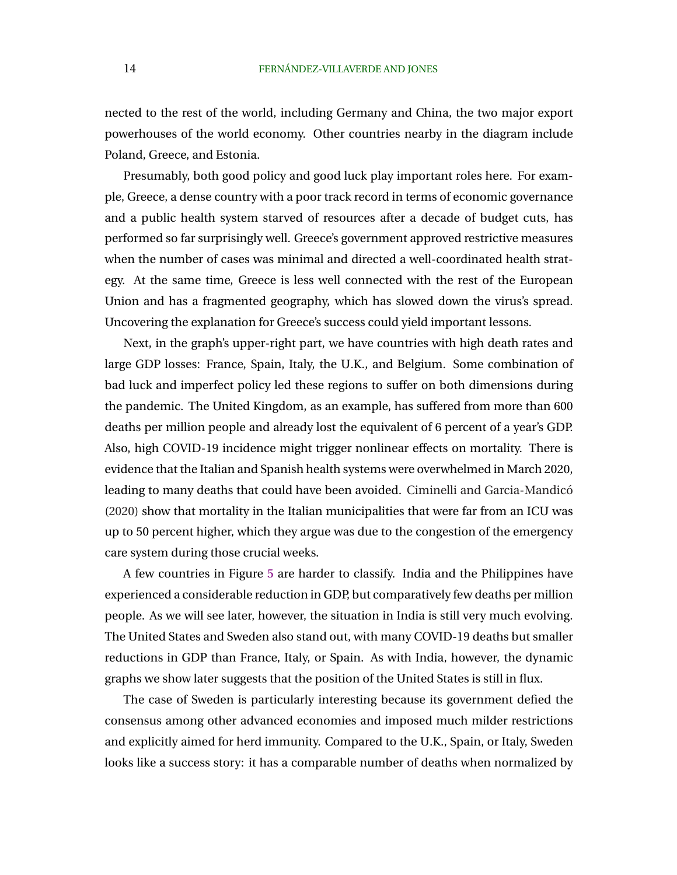nected to the rest of the world, including Germany and China, the two major export powerhouses of the world economy. Other countries nearby in the diagram include Poland, Greece, and Estonia.

Presumably, both good policy and good luck play important roles here. For example, Greece, a dense country with a poor track record in terms of economic governance and a public health system starved of resources after a decade of budget cuts, has performed so far surprisingly well. Greece's government approved restrictive measures when the number of cases was minimal and directed a well-coordinated health strategy. At the same time, Greece is less well connected with the rest of the European Union and has a fragmented geography, which has slowed down the virus's spread. Uncovering the explanation for Greece's success could yield important lessons.

Next, in the graph's upper-right part, we have countries with high death rates and large GDP losses: France, Spain, Italy, the U.K., and Belgium. Some combination of bad luck and imperfect policy led these regions to suffer on both dimensions during the pandemic. The United Kingdom, as an example, has suffered from more than 600 deaths per million people and already lost the equivalent of 6 percent of a year's GDP. Also, high COVID-19 incidence might trigger nonlinear effects on mortality. There is evidence that the Italian and Spanish health systems were overwhelmed in March 2020, leading to many deaths that could have been avoided. Ciminelli and Garcia-Mandicó [\(2020\)](#page-37-0) show that mortality in the Italian municipalities that were far from an ICU was up to 50 percent higher, which they argue was due to the congestion of the emergency care system during those crucial weeks.

A few countries in Figure [5](#page-13-0) are harder to classify. India and the Philippines have experienced a considerable reduction in GDP, but comparatively few deaths per million people. As we will see later, however, the situation in India is still very much evolving. The United States and Sweden also stand out, with many COVID-19 deaths but smaller reductions in GDP than France, Italy, or Spain. As with India, however, the dynamic graphs we show later suggests that the position of the United States is still in flux.

The case of Sweden is particularly interesting because its government defied the consensus among other advanced economies and imposed much milder restrictions and explicitly aimed for herd immunity. Compared to the U.K., Spain, or Italy, Sweden looks like a success story: it has a comparable number of deaths when normalized by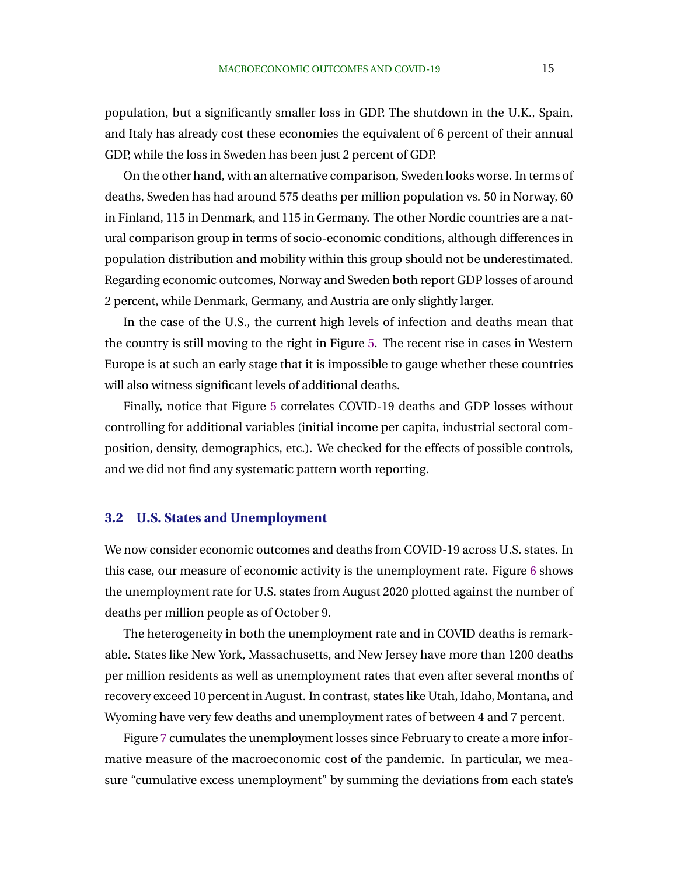population, but a significantly smaller loss in GDP. The shutdown in the U.K., Spain, and Italy has already cost these economies the equivalent of 6 percent of their annual GDP, while the loss in Sweden has been just 2 percent of GDP.

On the other hand, with an alternative comparison, Sweden looks worse. In terms of deaths, Sweden has had around 575 deaths per million population vs. 50 in Norway, 60 in Finland, 115 in Denmark, and 115 in Germany. The other Nordic countries are a natural comparison group in terms of socio-economic conditions, although differences in population distribution and mobility within this group should not be underestimated. Regarding economic outcomes, Norway and Sweden both report GDP losses of around 2 percent, while Denmark, Germany, and Austria are only slightly larger.

In the case of the U.S., the current high levels of infection and deaths mean that the country is still moving to the right in Figure [5.](#page-13-0) The recent rise in cases in Western Europe is at such an early stage that it is impossible to gauge whether these countries will also witness significant levels of additional deaths.

Finally, notice that Figure [5](#page-13-0) correlates COVID-19 deaths and GDP losses without controlling for additional variables (initial income per capita, industrial sectoral composition, density, demographics, etc.). We checked for the effects of possible controls, and we did not find any systematic pattern worth reporting.

#### **3.2 U.S. States and Unemployment**

We now consider economic outcomes and deaths from COVID-19 across U.S. states. In this case, our measure of economic activity is the unemployment rate. Figure [6](#page-17-0) shows the unemployment rate for U.S. states from August 2020 plotted against the number of deaths per million people as of October 9.

The heterogeneity in both the unemployment rate and in COVID deaths is remarkable. States like New York, Massachusetts, and New Jersey have more than 1200 deaths per million residents as well as unemployment rates that even after several months of recovery exceed 10 percent in August. In contrast, states like Utah, Idaho, Montana, and Wyoming have very few deaths and unemployment rates of between 4 and 7 percent.

Figure [7](#page-17-0) cumulates the unemployment losses since February to create a more informative measure of the macroeconomic cost of the pandemic. In particular, we measure "cumulative excess unemployment" by summing the deviations from each state's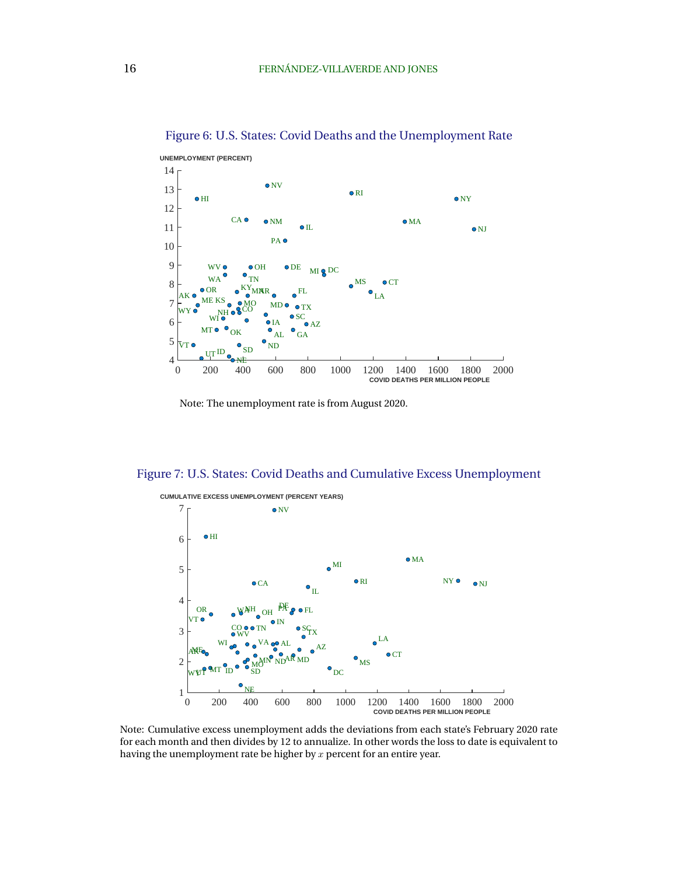

<span id="page-17-0"></span>Figure 6: U.S. States: Covid Deaths and the Unemployment Rate

Note: The unemployment rate is from August 2020.

#### Figure 7: U.S. States: Covid Deaths and Cumulative Excess Unemployment



Note: Cumulative excess unemployment adds the deviations from each state's February 2020 rate for each month and then divides by 12 to annualize. In other words the loss to date is equivalent to having the unemployment rate be higher by  $x$  percent for an entire year.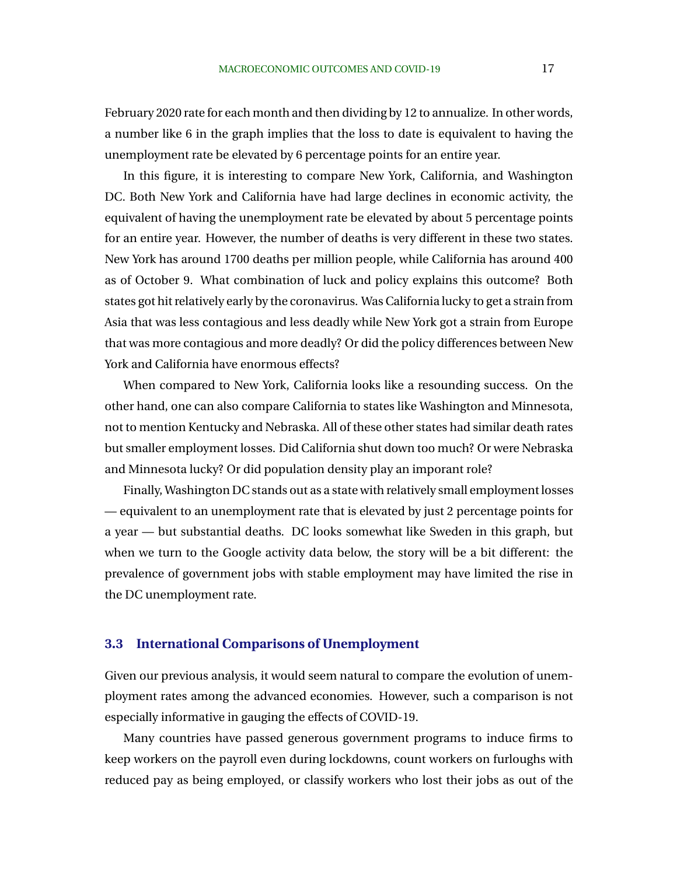February 2020 rate for each month and then dividing by 12 to annualize. In other words, a number like 6 in the graph implies that the loss to date is equivalent to having the unemployment rate be elevated by 6 percentage points for an entire year.

In this figure, it is interesting to compare New York, California, and Washington DC. Both New York and California have had large declines in economic activity, the equivalent of having the unemployment rate be elevated by about 5 percentage points for an entire year. However, the number of deaths is very different in these two states. New York has around 1700 deaths per million people, while California has around 400 as of October 9. What combination of luck and policy explains this outcome? Both states got hit relatively early by the coronavirus. Was California lucky to get a strain from Asia that was less contagious and less deadly while New York got a strain from Europe that was more contagious and more deadly? Or did the policy differences between New York and California have enormous effects?

When compared to New York, California looks like a resounding success. On the other hand, one can also compare California to states like Washington and Minnesota, not to mention Kentucky and Nebraska. All of these other states had similar death rates but smaller employment losses. Did California shut down too much? Or were Nebraska and Minnesota lucky? Or did population density play an imporant role?

Finally, Washington DC stands out as a state with relatively small employment losses — equivalent to an unemployment rate that is elevated by just 2 percentage points for a year — but substantial deaths. DC looks somewhat like Sweden in this graph, but when we turn to the Google activity data below, the story will be a bit different: the prevalence of government jobs with stable employment may have limited the rise in the DC unemployment rate.

### **3.3 International Comparisons of Unemployment**

Given our previous analysis, it would seem natural to compare the evolution of unemployment rates among the advanced economies. However, such a comparison is not especially informative in gauging the effects of COVID-19.

Many countries have passed generous government programs to induce firms to keep workers on the payroll even during lockdowns, count workers on furloughs with reduced pay as being employed, or classify workers who lost their jobs as out of the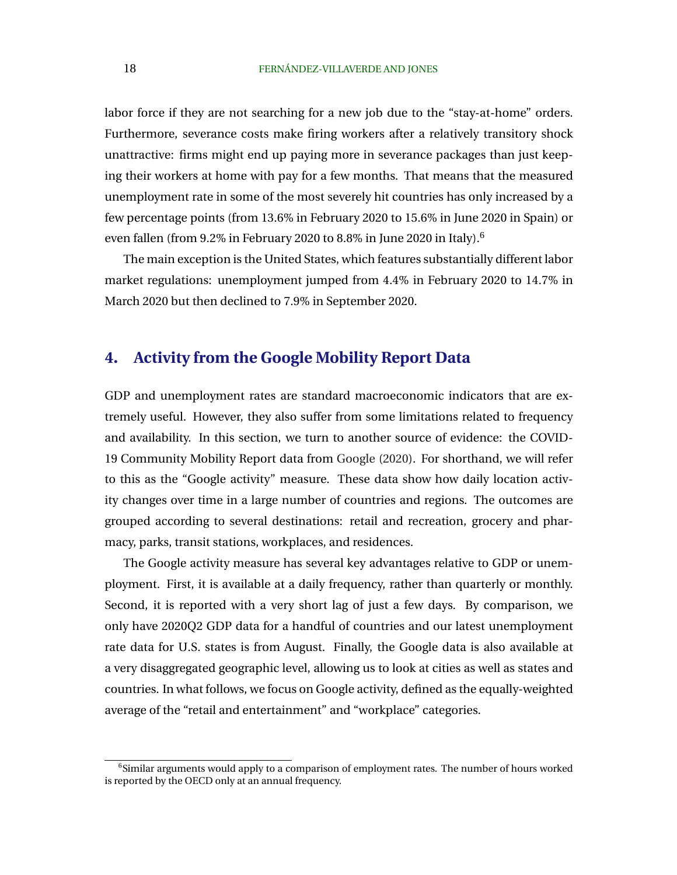<span id="page-19-0"></span>labor force if they are not searching for a new job due to the "stay-at-home" orders. Furthermore, severance costs make firing workers after a relatively transitory shock unattractive: firms might end up paying more in severance packages than just keeping their workers at home with pay for a few months. That means that the measured unemployment rate in some of the most severely hit countries has only increased by a few percentage points (from 13.6% in February 2020 to 15.6% in June 2020 in Spain) or even fallen (from 9.2% in February 2020 to 8.8% in June 2020 in Italy).<sup>6</sup>

The main exception is the United States, which features substantially different labor market regulations: unemployment jumped from 4.4% in February 2020 to 14.7% in March 2020 but then declined to 7.9% in September 2020.

## **4. Activity from the Google Mobility Report Data**

GDP and unemployment rates are standard macroeconomic indicators that are extremely useful. However, they also suffer from some limitations related to frequency and availability. In this section, we turn to another source of evidence: the COVID-19 Community Mobility Report data from [Google](#page-38-0) [\(2020\)](#page-38-0). For shorthand, we will refer to this as the "Google activity" measure. These data show how daily location activity changes over time in a large number of countries and regions. The outcomes are grouped according to several destinations: retail and recreation, grocery and pharmacy, parks, transit stations, workplaces, and residences.

The Google activity measure has several key advantages relative to GDP or unemployment. First, it is available at a daily frequency, rather than quarterly or monthly. Second, it is reported with a very short lag of just a few days. By comparison, we only have 2020Q2 GDP data for a handful of countries and our latest unemployment rate data for U.S. states is from August. Finally, the Google data is also available at a very disaggregated geographic level, allowing us to look at cities as well as states and countries. In what follows, we focus on Google activity, defined as the equally-weighted average of the "retail and entertainment" and "workplace" categories.

<sup>&</sup>lt;sup>6</sup>Similar arguments would apply to a comparison of employment rates. The number of hours worked is reported by the OECD only at an annual frequency.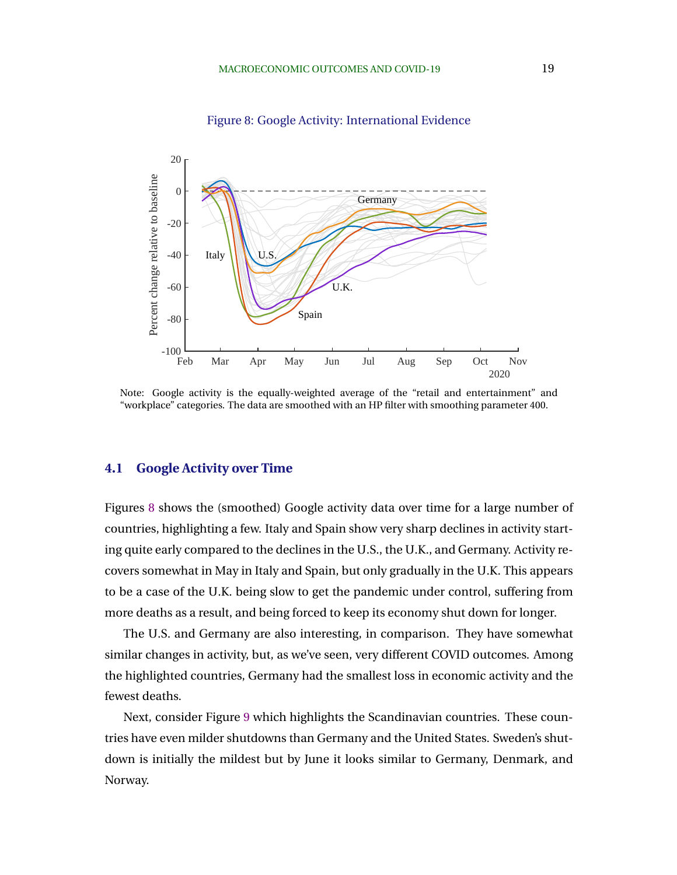<span id="page-20-0"></span>

Figure 8: Google Activity: International Evidence

Note: Google activity is the equally-weighted average of the "retail and entertainment" and "workplace" categories. The data are smoothed with an HP filter with smoothing parameter 400.

### **4.1 Google Activity over Time**

Figures 8 shows the (smoothed) Google activity data over time for a large number of countries, highlighting a few. Italy and Spain show very sharp declines in activity starting quite early compared to the declines in the U.S., the U.K., and Germany. Activity recovers somewhat in May in Italy and Spain, but only gradually in the U.K. This appears to be a case of the U.K. being slow to get the pandemic under control, suffering from more deaths as a result, and being forced to keep its economy shut down for longer.

The U.S. and Germany are also interesting, in comparison. They have somewhat similar changes in activity, but, as we've seen, very different COVID outcomes. Among the highlighted countries, Germany had the smallest loss in economic activity and the fewest deaths.

Next, consider Figure [9](#page-21-0) which highlights the Scandinavian countries. These countries have even milder shutdowns than Germany and the United States. Sweden's shutdown is initially the mildest but by June it looks similar to Germany, Denmark, and Norway.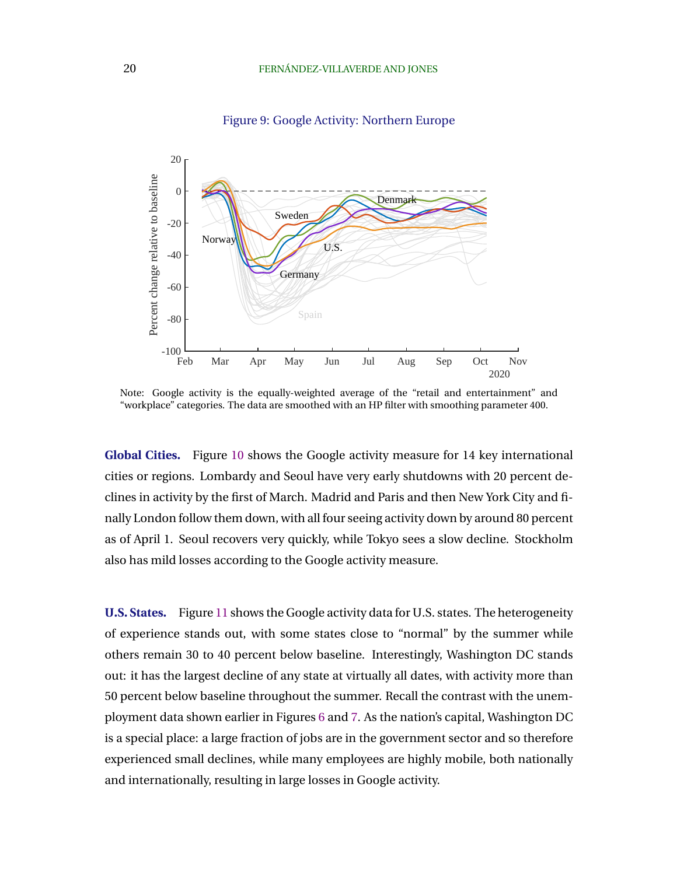<span id="page-21-0"></span>

Figure 9: Google Activity: Northern Europe

Note: Google activity is the equally-weighted average of the "retail and entertainment" and "workplace" categories. The data are smoothed with an HP filter with smoothing parameter 400.

**Global Cities.** Figure [10](#page-22-0) shows the Google activity measure for 14 key international cities or regions. Lombardy and Seoul have very early shutdowns with 20 percent declines in activity by the first of March. Madrid and Paris and then New York City and finally London follow them down, with all four seeing activity down by around 80 percent as of April 1. Seoul recovers very quickly, while Tokyo sees a slow decline. Stockholm also has mild losses according to the Google activity measure.

**U.S. States.** Figure [11](#page-22-0) shows the Google activity data for U.S. states. The heterogeneity of experience stands out, with some states close to "normal" by the summer while others remain 30 to 40 percent below baseline. Interestingly, Washington DC stands out: it has the largest decline of any state at virtually all dates, with activity more than 50 percent below baseline throughout the summer. Recall the contrast with the unemployment data shown earlier in Figures [6](#page-17-0) and [7.](#page-17-0) As the nation's capital, Washington DC is a special place: a large fraction of jobs are in the government sector and so therefore experienced small declines, while many employees are highly mobile, both nationally and internationally, resulting in large losses in Google activity.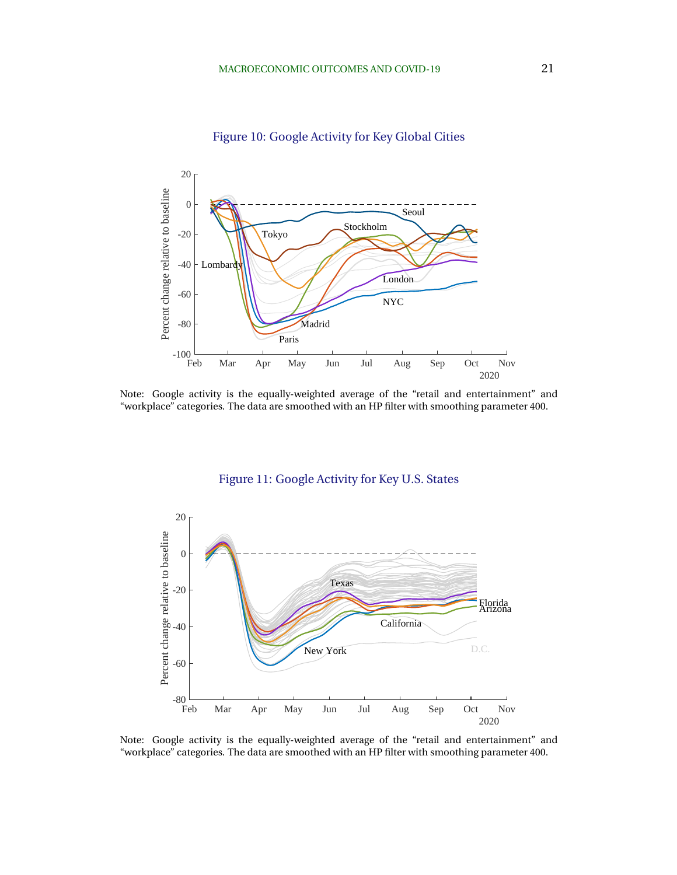<span id="page-22-0"></span>

Figure 10: Google Activity for Key Global Cities

Note: Google activity is the equally-weighted average of the "retail and entertainment" and "workplace" categories. The data are smoothed with an HP filter with smoothing parameter 400.



Figure 11: Google Activity for Key U.S. States

Note: Google activity is the equally-weighted average of the "retail and entertainment" and "workplace" categories. The data are smoothed with an HP filter with smoothing parameter 400.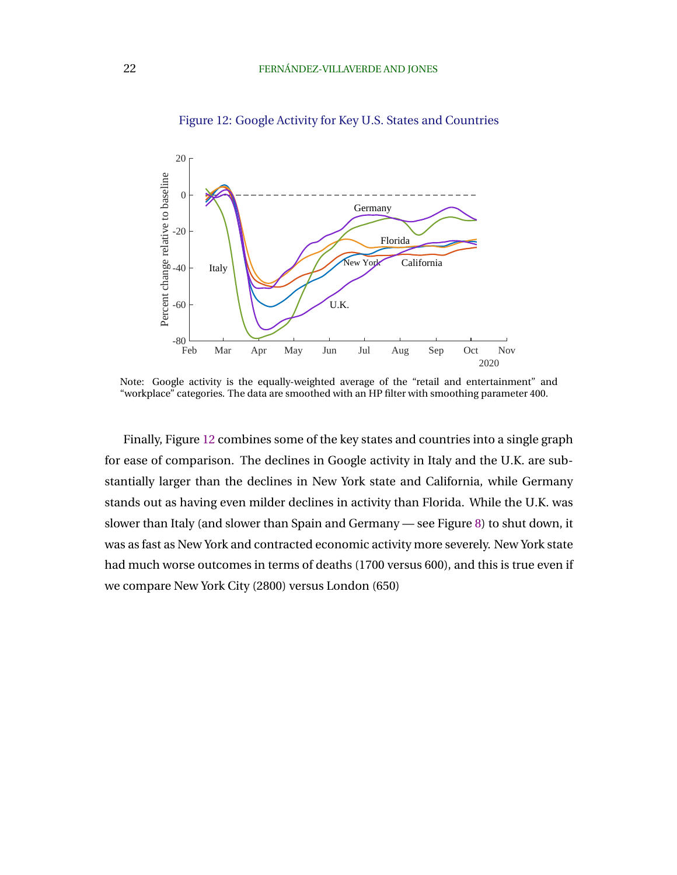

Figure 12: Google Activity for Key U.S. States and Countries

Note: Google activity is the equally-weighted average of the "retail and entertainment" and "workplace" categories. The data are smoothed with an HP filter with smoothing parameter 400.

Finally, Figure 12 combines some of the key states and countries into a single graph for ease of comparison. The declines in Google activity in Italy and the U.K. are substantially larger than the declines in New York state and California, while Germany stands out as having even milder declines in activity than Florida. While the U.K. was slower than Italy (and slower than Spain and Germany — see Figure [8\)](#page-20-0) to shut down, it was as fast as New York and contracted economic activity more severely. New York state had much worse outcomes in terms of deaths (1700 versus 600), and this is true even if we compare New York City (2800) versus London (650)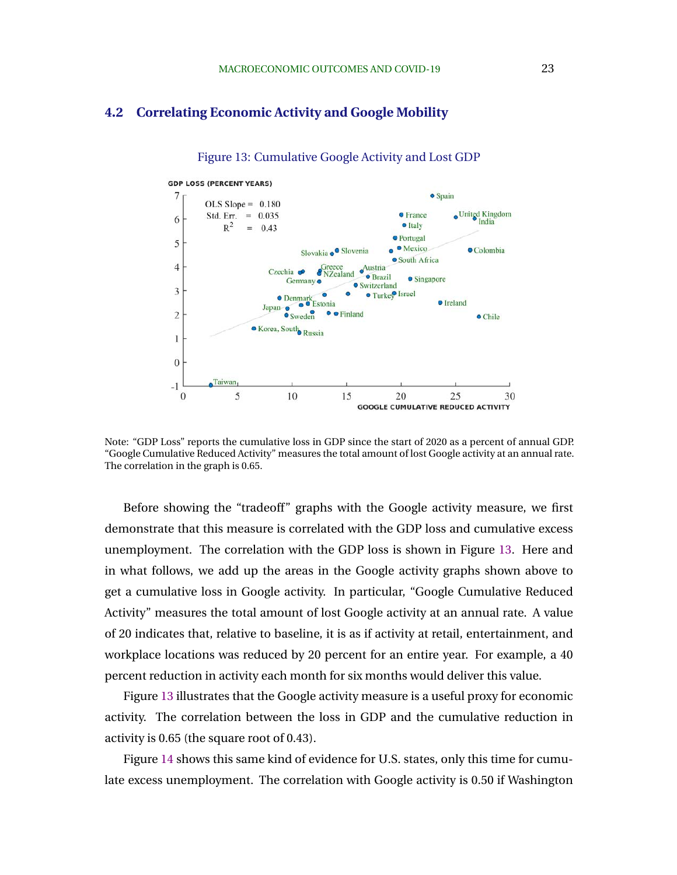### **4.2 Correlating Economic Activity and Google Mobility**



Figure 13: Cumulative Google Activity and Lost GDP

Note: "GDP Loss" reports the cumulative loss in GDP since the start of 2020 as a percent of annual GDP. "Google Cumulative Reduced Activity" measures the total amount of lost Google activity at an annual rate. The correlation in the graph is 0.65.

Before showing the "tradeoff" graphs with the Google activity measure, we first demonstrate that this measure is correlated with the GDP loss and cumulative excess unemployment. The correlation with the GDP loss is shown in Figure 13. Here and in what follows, we add up the areas in the Google activity graphs shown above to get a cumulative loss in Google activity. In particular, "Google Cumulative Reduced Activity" measures the total amount of lost Google activity at an annual rate. A value of 20 indicates that, relative to baseline, it is as if activity at retail, entertainment, and workplace locations was reduced by 20 percent for an entire year. For example, a 40 percent reduction in activity each month for six months would deliver this value.

Figure 13 illustrates that the Google activity measure is a useful proxy for economic activity. The correlation between the loss in GDP and the cumulative reduction in activity is 0.65 (the square root of 0.43).

Figure [14](#page-25-0) shows this same kind of evidence for U.S. states, only this time for cumulate excess unemployment. The correlation with Google activity is 0.50 if Washington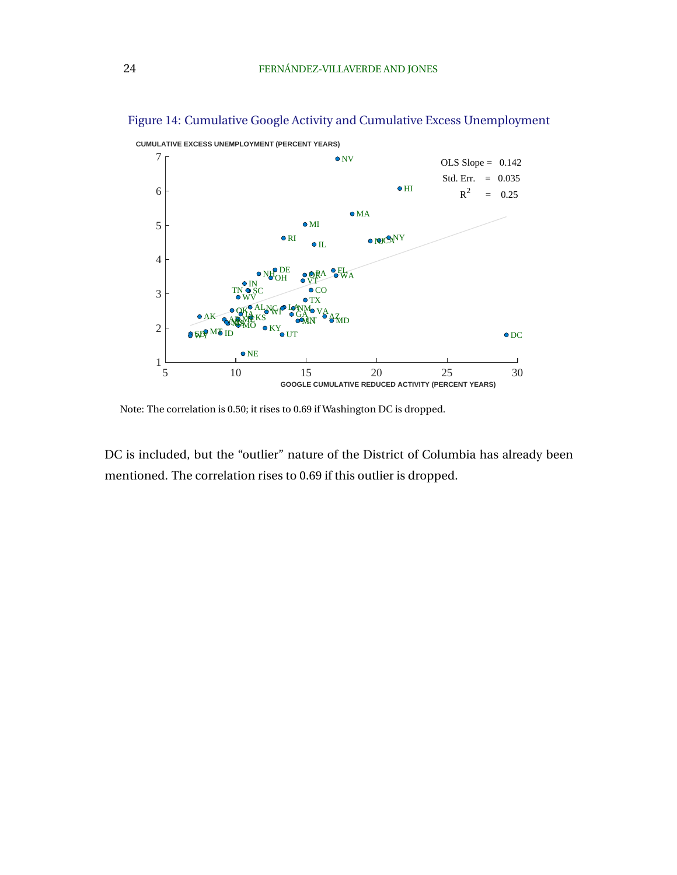

<span id="page-25-0"></span>Figure 14: Cumulative Google Activity and Cumulative Excess Unemployment

Note: The correlation is 0.50; it rises to 0.69 if Washington DC is dropped.

DC is included, but the "outlier" nature of the District of Columbia has already been mentioned. The correlation rises to 0.69 if this outlier is dropped.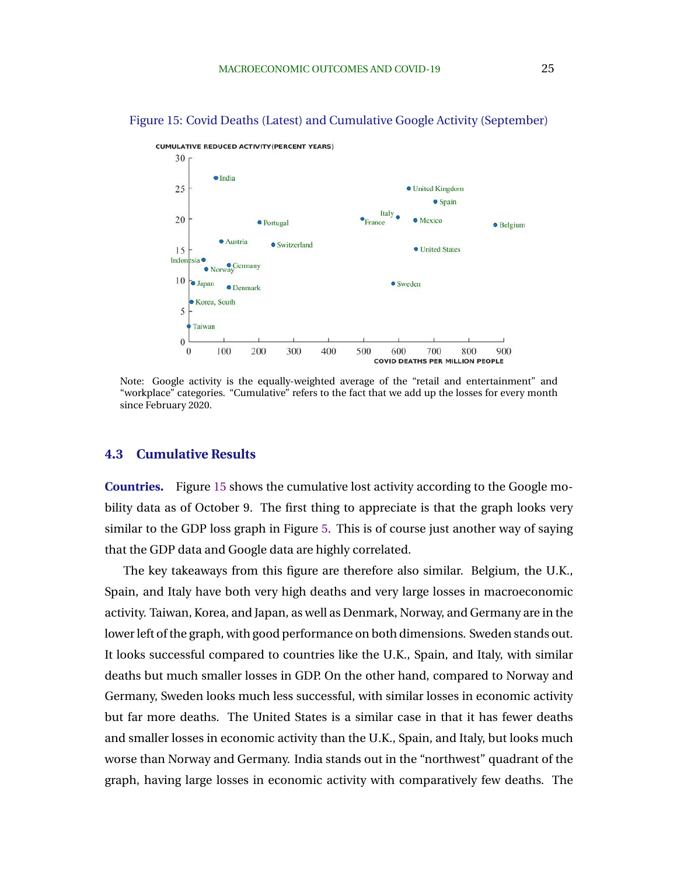

Figure 15: Covid Deaths (Latest) and Cumulative Google Activity (September)

Note: Google activity is the equally-weighted average of the "retail and entertainment" and "workplace" categories. "Cumulative" refers to the fact that we add up the losses for every month since February 2020.

#### **4.3 Cumulative Results**

**Countries.** Figure 15 shows the cumulative lost activity according to the Google mobility data as of October 9. The first thing to appreciate is that the graph looks very similar to the GDP loss graph in Figure [5.](#page-13-0) This is of course just another way of saying that the GDP data and Google data are highly correlated.

The key takeaways from this figure are therefore also similar. Belgium, the U.K., Spain, and Italy have both very high deaths and very large losses in macroeconomic activity. Taiwan, Korea, and Japan, as well as Denmark, Norway, and Germany are in the lower left of the graph, with good performance on both dimensions. Sweden stands out. It looks successful compared to countries like the U.K., Spain, and Italy, with similar deaths but much smaller losses in GDP. On the other hand, compared to Norway and Germany, Sweden looks much less successful, with similar losses in economic activity but far more deaths. The United States is a similar case in that it has fewer deaths and smaller losses in economic activity than the U.K., Spain, and Italy, but looks much worse than Norway and Germany. India stands out in the "northwest" quadrant of the graph, having large losses in economic activity with comparatively few deaths. The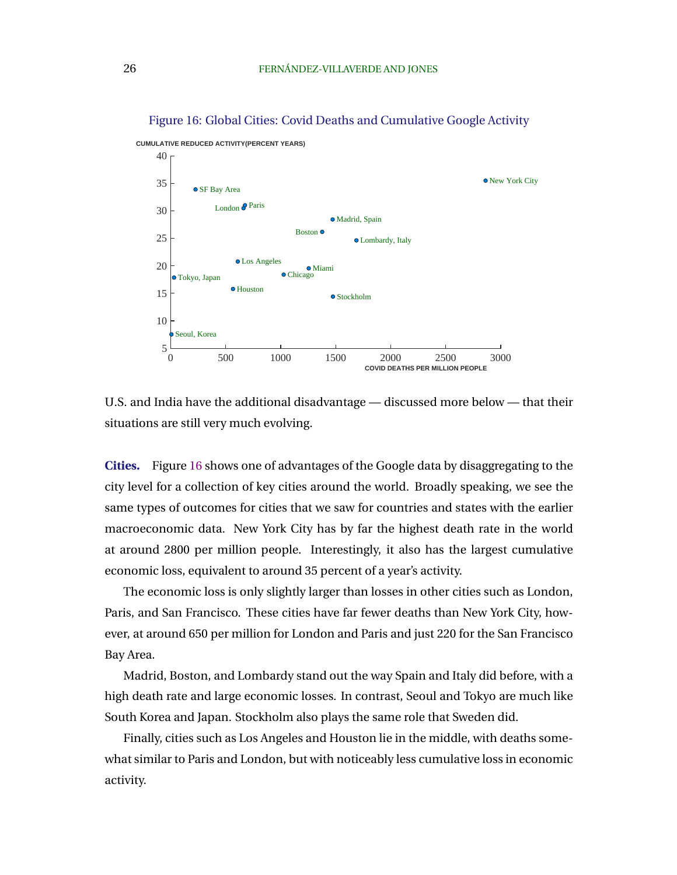

Figure 16: Global Cities: Covid Deaths and Cumulative Google Activity

U.S. and India have the additional disadvantage — discussed more below — that their situations are still very much evolving.

**Cities.** Figure 16 shows one of advantages of the Google data by disaggregating to the city level for a collection of key cities around the world. Broadly speaking, we see the same types of outcomes for cities that we saw for countries and states with the earlier macroeconomic data. New York City has by far the highest death rate in the world at around 2800 per million people. Interestingly, it also has the largest cumulative economic loss, equivalent to around 35 percent of a year's activity.

The economic loss is only slightly larger than losses in other cities such as London, Paris, and San Francisco. These cities have far fewer deaths than New York City, however, at around 650 per million for London and Paris and just 220 for the San Francisco Bay Area.

Madrid, Boston, and Lombardy stand out the way Spain and Italy did before, with a high death rate and large economic losses. In contrast, Seoul and Tokyo are much like South Korea and Japan. Stockholm also plays the same role that Sweden did.

Finally, cities such as Los Angeles and Houston lie in the middle, with deaths somewhat similar to Paris and London, but with noticeably less cumulative loss in economic activity.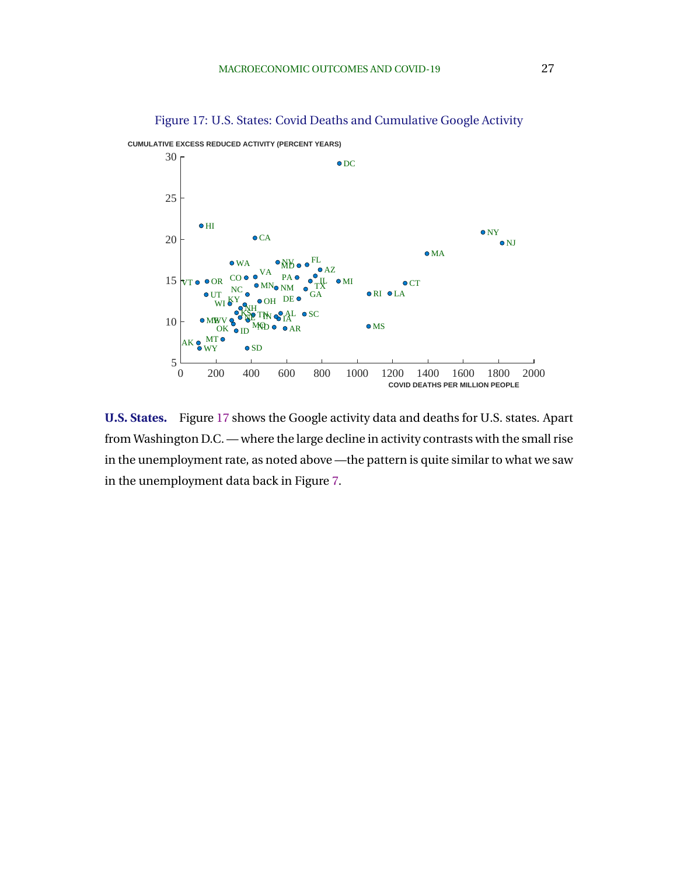

Figure 17: U.S. States: Covid Deaths and Cumulative Google Activity

**U.S. States.** Figure 17 shows the Google activity data and deaths for U.S. states. Apart from Washington D.C. — where the large decline in activity contrasts with the small rise in the unemployment rate, as noted above —the pattern is quite similar to what we saw in the unemployment data back in Figure [7.](#page-17-0)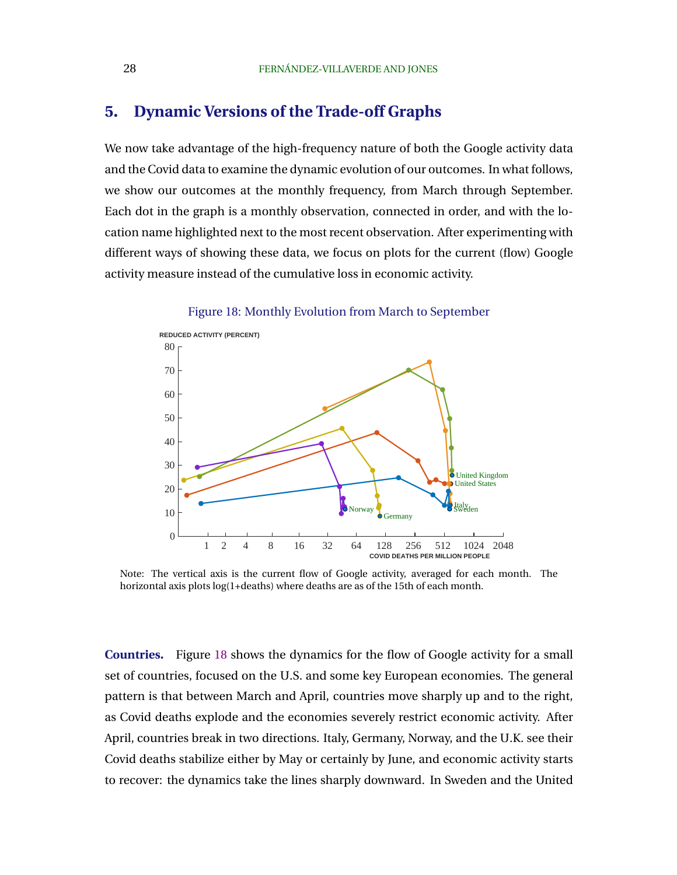## <span id="page-29-0"></span>**5. Dynamic Versions of the Trade-off Graphs**

We now take advantage of the high-frequency nature of both the Google activity data and the Covid data to examine the dynamic evolution of our outcomes. In what follows, we show our outcomes at the monthly frequency, from March through September. Each dot in the graph is a monthly observation, connected in order, and with the location name highlighted next to the most recent observation. After experimenting with different ways of showing these data, we focus on plots for the current (flow) Google activity measure instead of the cumulative loss in economic activity.



Figure 18: Monthly Evolution from March to September

Note: The vertical axis is the current flow of Google activity, averaged for each month. The horizontal axis plots log(1+deaths) where deaths are as of the 15th of each month.

**Countries.** Figure 18 shows the dynamics for the flow of Google activity for a small set of countries, focused on the U.S. and some key European economies. The general pattern is that between March and April, countries move sharply up and to the right, as Covid deaths explode and the economies severely restrict economic activity. After April, countries break in two directions. Italy, Germany, Norway, and the U.K. see their Covid deaths stabilize either by May or certainly by June, and economic activity starts to recover: the dynamics take the lines sharply downward. In Sweden and the United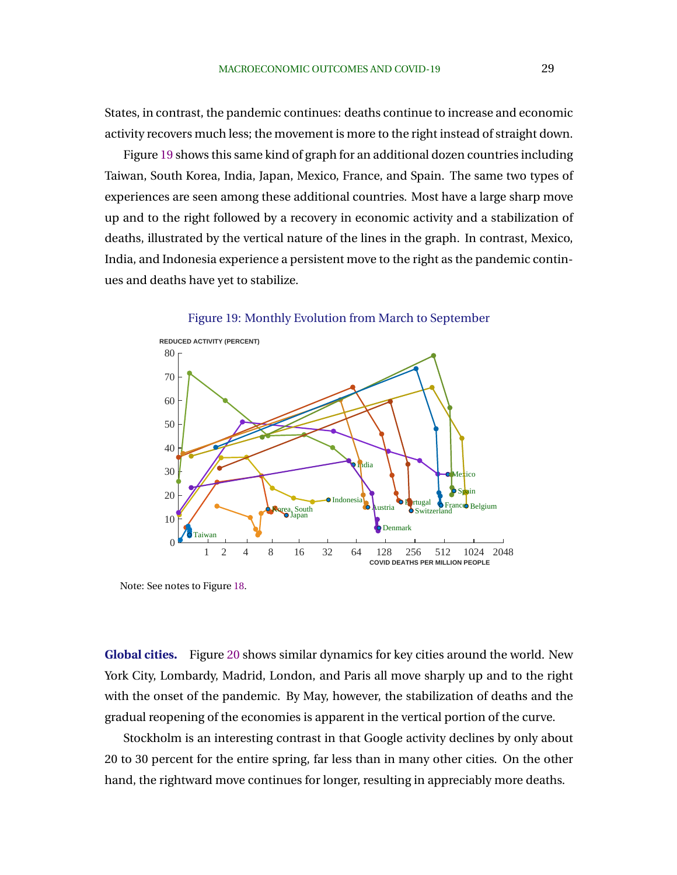States, in contrast, the pandemic continues: deaths continue to increase and economic activity recovers much less; the movement is more to the right instead of straight down.

Figure 19 shows this same kind of graph for an additional dozen countries including Taiwan, South Korea, India, Japan, Mexico, France, and Spain. The same two types of experiences are seen among these additional countries. Most have a large sharp move up and to the right followed by a recovery in economic activity and a stabilization of deaths, illustrated by the vertical nature of the lines in the graph. In contrast, Mexico, India, and Indonesia experience a persistent move to the right as the pandemic continues and deaths have yet to stabilize.





Note: See notes to Figure [18.](#page-29-0)

**Global cities.** Figure [20](#page-31-0) shows similar dynamics for key cities around the world. New York City, Lombardy, Madrid, London, and Paris all move sharply up and to the right with the onset of the pandemic. By May, however, the stabilization of deaths and the gradual reopening of the economies is apparent in the vertical portion of the curve.

Stockholm is an interesting contrast in that Google activity declines by only about 20 to 30 percent for the entire spring, far less than in many other cities. On the other hand, the rightward move continues for longer, resulting in appreciably more deaths.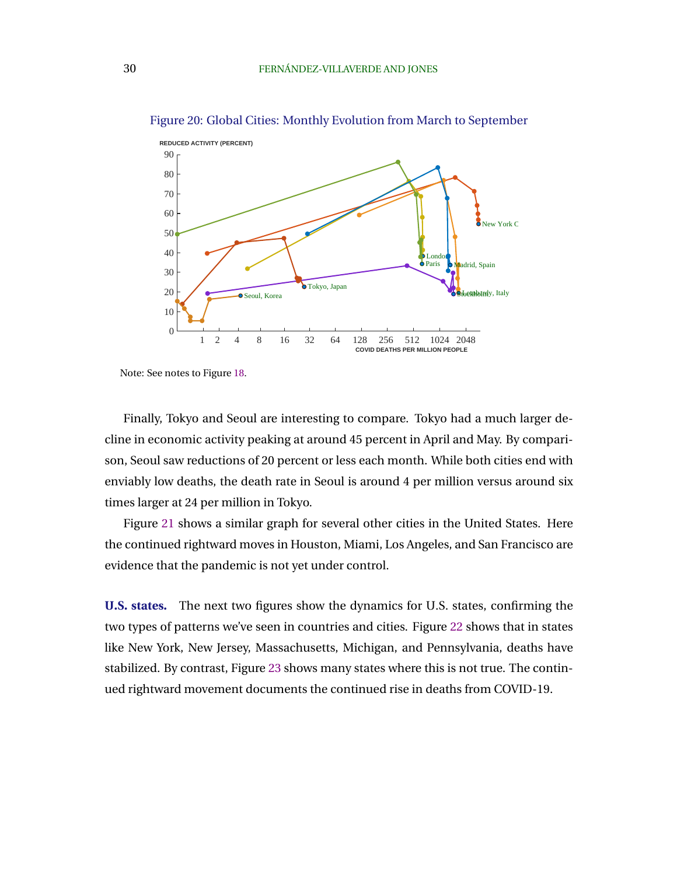

<span id="page-31-0"></span>Figure 20: Global Cities: Monthly Evolution from March to September

Finally, Tokyo and Seoul are interesting to compare. Tokyo had a much larger decline in economic activity peaking at around 45 percent in April and May. By comparison, Seoul saw reductions of 20 percent or less each month. While both cities end with enviably low deaths, the death rate in Seoul is around 4 per million versus around six times larger at 24 per million in Tokyo.

Figure [21](#page-32-0) shows a similar graph for several other cities in the United States. Here the continued rightward moves in Houston, Miami, Los Angeles, and San Francisco are evidence that the pandemic is not yet under control.

**U.S. states.** The next two figures show the dynamics for U.S. states, confirming the two types of patterns we've seen in countries and cities. Figure [22](#page-32-0) shows that in states like New York, New Jersey, Massachusetts, Michigan, and Pennsylvania, deaths have stabilized. By contrast, Figure [23](#page-33-0) shows many states where this is not true. The continued rightward movement documents the continued rise in deaths from COVID-19.

Note: See notes to Figure [18.](#page-29-0)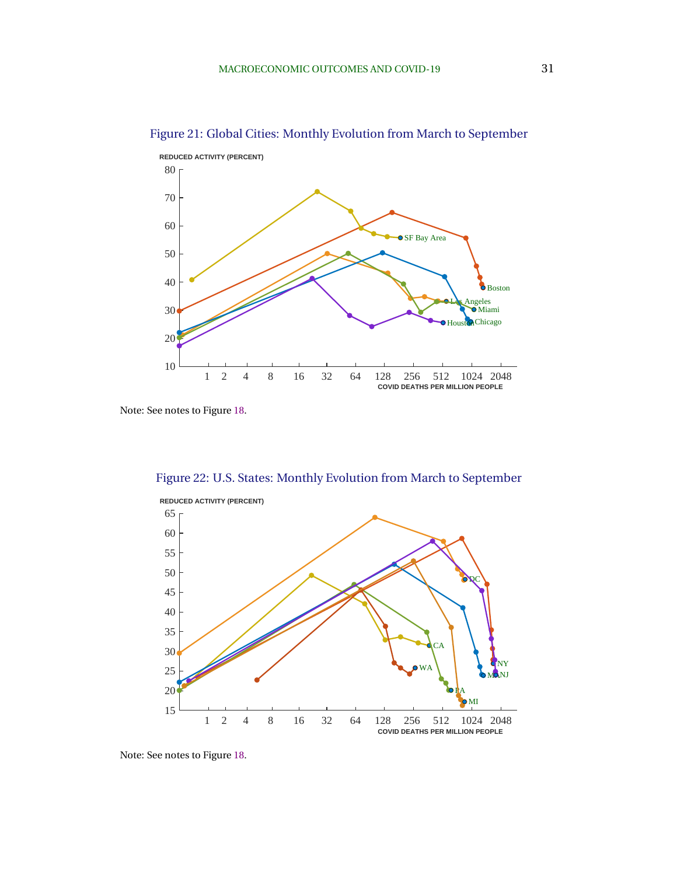

<span id="page-32-0"></span>Figure 21: Global Cities: Monthly Evolution from March to September



Figure 22: U.S. States: Monthly Evolution from March to September

Note: See notes to Figure [18.](#page-29-0)

Note: See notes to Figure [18.](#page-29-0)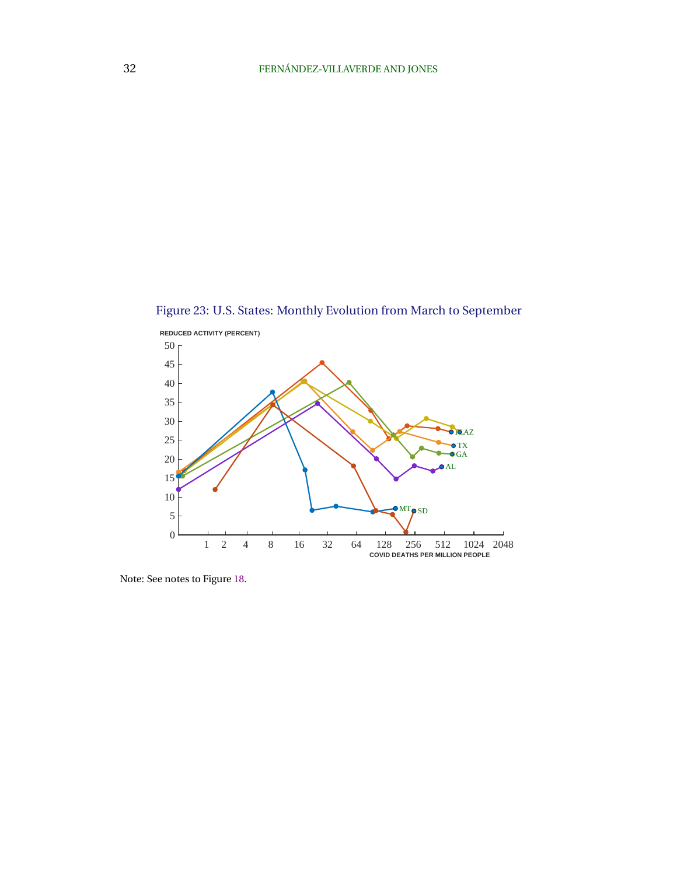<span id="page-33-0"></span>Figure 23: U.S. States: Monthly Evolution from March to September



Note: See notes to Figure [18.](#page-29-0)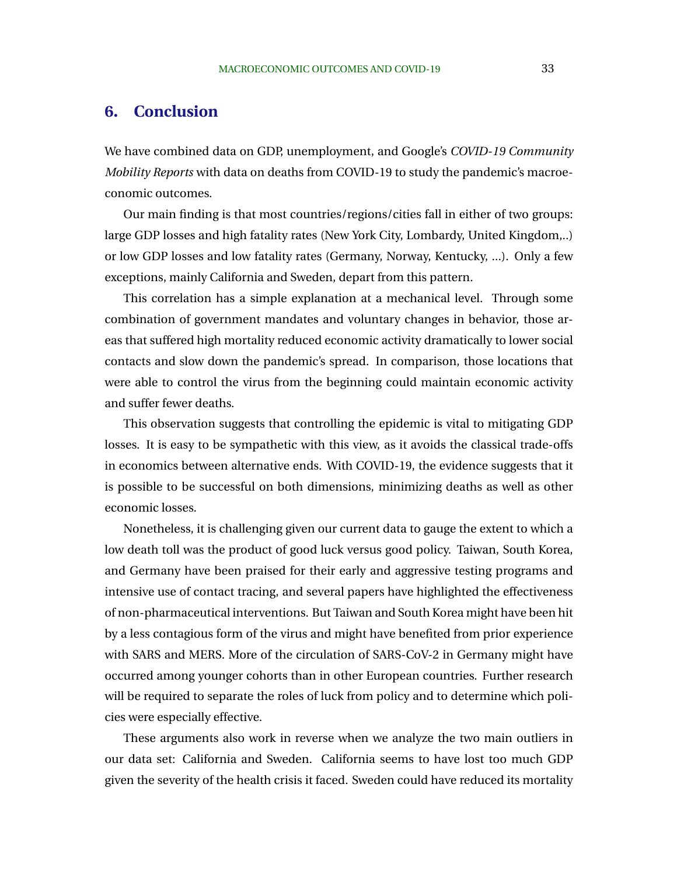## <span id="page-34-0"></span>**6. Conclusion**

We have combined data on GDP, unemployment, and Google's *COVID-19 Community Mobility Reports* with data on deaths from COVID-19 to study the pandemic's macroeconomic outcomes.

Our main finding is that most countries/regions/cities fall in either of two groups: large GDP losses and high fatality rates (New York City, Lombardy, United Kingdom,..) or low GDP losses and low fatality rates (Germany, Norway, Kentucky, ...). Only a few exceptions, mainly California and Sweden, depart from this pattern.

This correlation has a simple explanation at a mechanical level. Through some combination of government mandates and voluntary changes in behavior, those areas that suffered high mortality reduced economic activity dramatically to lower social contacts and slow down the pandemic's spread. In comparison, those locations that were able to control the virus from the beginning could maintain economic activity and suffer fewer deaths.

This observation suggests that controlling the epidemic is vital to mitigating GDP losses. It is easy to be sympathetic with this view, as it avoids the classical trade-offs in economics between alternative ends. With COVID-19, the evidence suggests that it is possible to be successful on both dimensions, minimizing deaths as well as other economic losses.

Nonetheless, it is challenging given our current data to gauge the extent to which a low death toll was the product of good luck versus good policy. Taiwan, South Korea, and Germany have been praised for their early and aggressive testing programs and intensive use of contact tracing, and several papers have highlighted the effectiveness of non-pharmaceutical interventions. But Taiwan and South Korea might have been hit by a less contagious form of the virus and might have benefited from prior experience with SARS and MERS. More of the circulation of SARS-CoV-2 in Germany might have occurred among younger cohorts than in other European countries. Further research will be required to separate the roles of luck from policy and to determine which policies were especially effective.

These arguments also work in reverse when we analyze the two main outliers in our data set: California and Sweden. California seems to have lost too much GDP given the severity of the health crisis it faced. Sweden could have reduced its mortality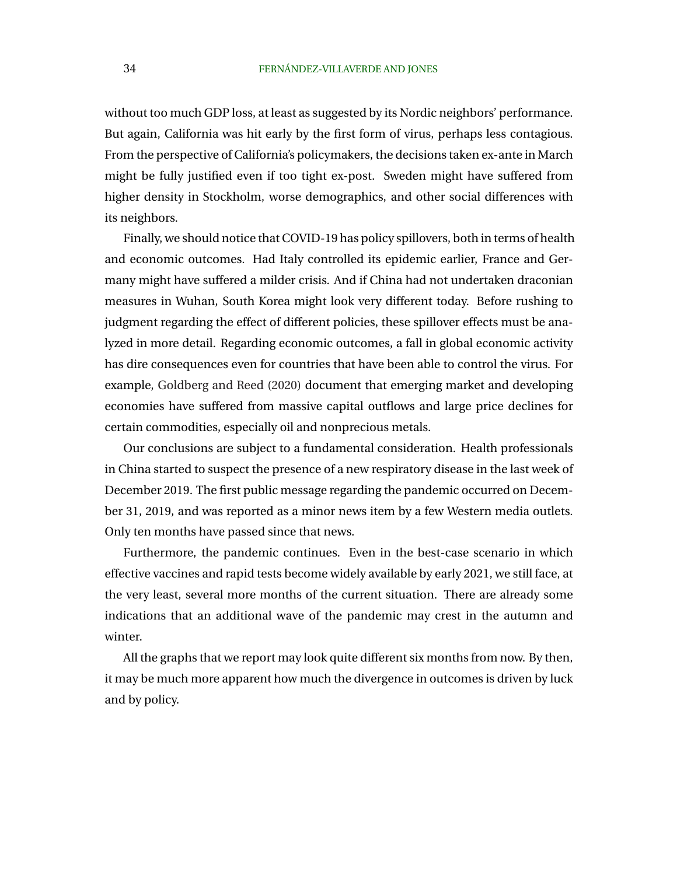without too much GDP loss, at least as suggested by its Nordic neighbors' performance. But again, California was hit early by the first form of virus, perhaps less contagious. From the perspective of California's policymakers, the decisions taken ex-ante in March might be fully justified even if too tight ex-post. Sweden might have suffered from higher density in Stockholm, worse demographics, and other social differences with its neighbors.

Finally, we should notice that COVID-19 has policy spillovers, both in terms of health and economic outcomes. Had Italy controlled its epidemic earlier, France and Germany might have suffered a milder crisis. And if China had not undertaken draconian measures in Wuhan, South Korea might look very different today. Before rushing to judgment regarding the effect of different policies, these spillover effects must be analyzed in more detail. Regarding economic outcomes, a fall in global economic activity has dire consequences even for countries that have been able to control the virus. For example, [Goldberg and Reed](#page-38-0) [\(2020\)](#page-38-0) document that emerging market and developing economies have suffered from massive capital outflows and large price declines for certain commodities, especially oil and nonprecious metals.

Our conclusions are subject to a fundamental consideration. Health professionals in China started to suspect the presence of a new respiratory disease in the last week of December 2019. The first public message regarding the pandemic occurred on December 31, 2019, and was reported as a minor news item by a few Western media outlets. Only ten months have passed since that news.

Furthermore, the pandemic continues. Even in the best-case scenario in which effective vaccines and rapid tests become widely available by early 2021, we still face, at the very least, several more months of the current situation. There are already some indications that an additional wave of the pandemic may crest in the autumn and winter.

All the graphs that we report may look quite different six months from now. By then, it may be much more apparent how much the divergence in outcomes is driven by luck and by policy.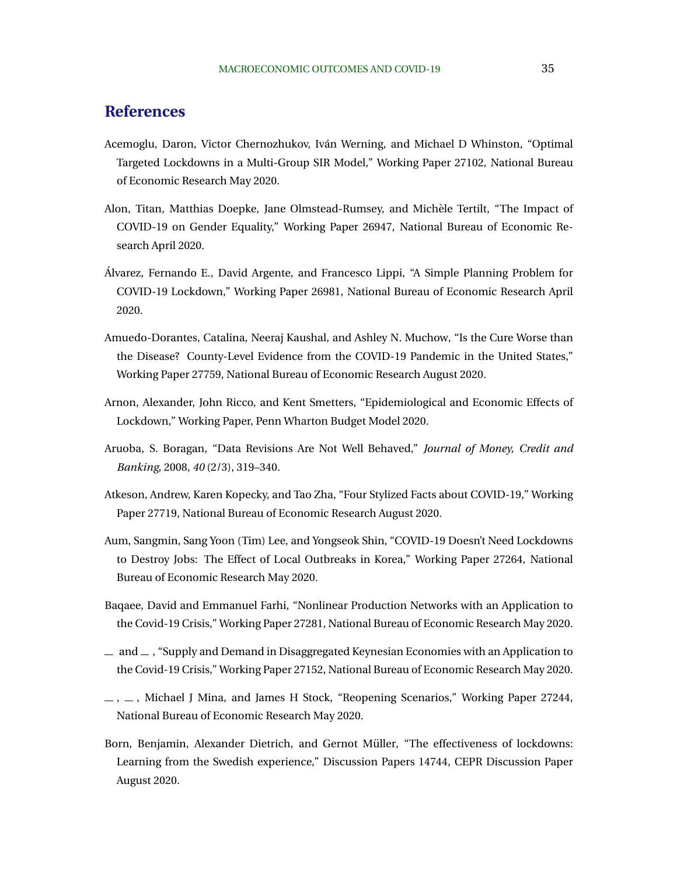# <span id="page-36-0"></span>**References**

- Acemoglu, Daron, Victor Chernozhukov, Iván Werning, and Michael D Whinston, "Optimal Targeted Lockdowns in a Multi-Group SIR Model," Working Paper 27102, National Bureau of Economic Research May 2020.
- Alon, Titan, Matthias Doepke, Jane Olmstead-Rumsey, and Michele Tertilt, "The Impact of ` COVID-19 on Gender Equality," Working Paper 26947, National Bureau of Economic Research April 2020.
- Alvarez, Fernando E., David Argente, and Francesco Lippi, "A Simple Planning Problem for ´ COVID-19 Lockdown," Working Paper 26981, National Bureau of Economic Research April 2020.
- Amuedo-Dorantes, Catalina, Neeraj Kaushal, and Ashley N. Muchow, "Is the Cure Worse than the Disease? County-Level Evidence from the COVID-19 Pandemic in the United States," Working Paper 27759, National Bureau of Economic Research August 2020.
- Arnon, Alexander, John Ricco, and Kent Smetters, "Epidemiological and Economic Effects of Lockdown," Working Paper, Penn Wharton Budget Model 2020.
- Aruoba, S. Boragan, "Data Revisions Are Not Well Behaved," *Journal of Money, Credit and Banking*, 2008, *40* (2/3), 319–340.
- Atkeson, Andrew, Karen Kopecky, and Tao Zha, "Four Stylized Facts about COVID-19," Working Paper 27719, National Bureau of Economic Research August 2020.
- Aum, Sangmin, Sang Yoon (Tim) Lee, and Yongseok Shin, "COVID-19 Doesn't Need Lockdowns to Destroy Jobs: The Effect of Local Outbreaks in Korea," Working Paper 27264, National Bureau of Economic Research May 2020.
- Baqaee, David and Emmanuel Farhi, "Nonlinear Production Networks with an Application to the Covid-19 Crisis," Working Paper 27281, National Bureau of Economic Research May 2020.
- $-$  and  $-$  , "Supply and Demand in Disaggregated Keynesian Economies with an Application to the Covid-19 Crisis," Working Paper 27152, National Bureau of Economic Research May 2020.
- $\ldots$ ,  $\ldots$ , Michael J Mina, and James H Stock, "Reopening Scenarios," Working Paper 27244, National Bureau of Economic Research May 2020.
- Born, Benjamin, Alexander Dietrich, and Gernot Müller, "The effectiveness of lockdowns: Learning from the Swedish experience," Discussion Papers 14744, CEPR Discussion Paper August 2020.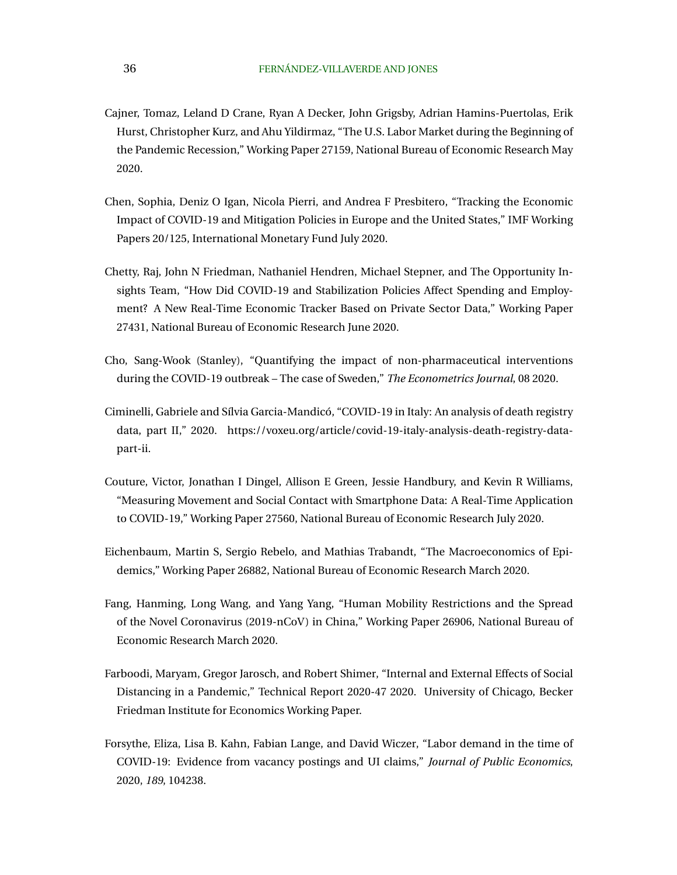- <span id="page-37-0"></span>Cajner, Tomaz, Leland D Crane, Ryan A Decker, John Grigsby, Adrian Hamins-Puertolas, Erik Hurst, Christopher Kurz, and Ahu Yildirmaz, "The U.S. Labor Market during the Beginning of the Pandemic Recession," Working Paper 27159, National Bureau of Economic Research May 2020.
- Chen, Sophia, Deniz O Igan, Nicola Pierri, and Andrea F Presbitero, "Tracking the Economic Impact of COVID-19 and Mitigation Policies in Europe and the United States," IMF Working Papers 20/125, International Monetary Fund July 2020.
- Chetty, Raj, John N Friedman, Nathaniel Hendren, Michael Stepner, and The Opportunity Insights Team, "How Did COVID-19 and Stabilization Policies Affect Spending and Employment? A New Real-Time Economic Tracker Based on Private Sector Data," Working Paper 27431, National Bureau of Economic Research June 2020.
- Cho, Sang-Wook (Stanley), "Quantifying the impact of non-pharmaceutical interventions during the COVID-19 outbreak – The case of Sweden," *The Econometrics Journal*, 08 2020.
- Ciminelli, Gabriele and Sílvia Garcia-Mandicó, "COVID-19 in Italy: An analysis of death registry data, part II," 2020. https://voxeu.org/article/covid-19-italy-analysis-death-registry-datapart-ii.
- Couture, Victor, Jonathan I Dingel, Allison E Green, Jessie Handbury, and Kevin R Williams, "Measuring Movement and Social Contact with Smartphone Data: A Real-Time Application to COVID-19," Working Paper 27560, National Bureau of Economic Research July 2020.
- Eichenbaum, Martin S, Sergio Rebelo, and Mathias Trabandt, "The Macroeconomics of Epidemics," Working Paper 26882, National Bureau of Economic Research March 2020.
- Fang, Hanming, Long Wang, and Yang Yang, "Human Mobility Restrictions and the Spread of the Novel Coronavirus (2019-nCoV) in China," Working Paper 26906, National Bureau of Economic Research March 2020.
- Farboodi, Maryam, Gregor Jarosch, and Robert Shimer, "Internal and External Effects of Social Distancing in a Pandemic," Technical Report 2020-47 2020. University of Chicago, Becker Friedman Institute for Economics Working Paper.
- Forsythe, Eliza, Lisa B. Kahn, Fabian Lange, and David Wiczer, "Labor demand in the time of COVID-19: Evidence from vacancy postings and UI claims," *Journal of Public Economics*, 2020, *189*, 104238.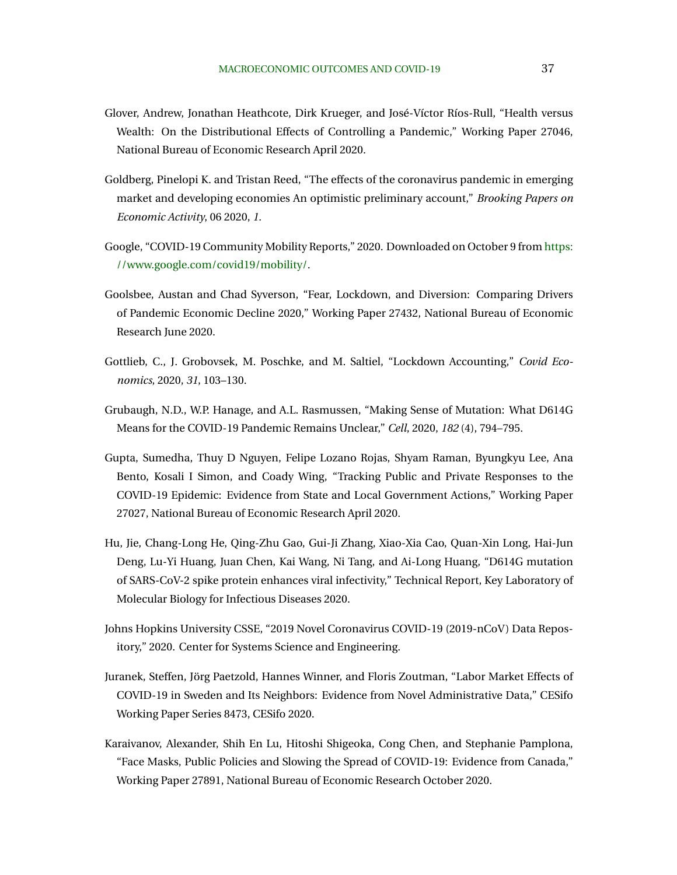- <span id="page-38-0"></span>Glover, Andrew, Jonathan Heathcote, Dirk Krueger, and José-Víctor Ríos-Rull, "Health versus Wealth: On the Distributional Effects of Controlling a Pandemic," Working Paper 27046, National Bureau of Economic Research April 2020.
- Goldberg, Pinelopi K. and Tristan Reed, "The effects of the coronavirus pandemic in emerging market and developing economies An optimistic preliminary account," *Brooking Papers on Economic Activity*, 06 2020, *1.*
- Google, "COVID-19 Community Mobility Reports," 2020. Downloaded on October 9 from [https:](https://www.google.com/covid19/mobility/) [//www.google.com/covid19/mobility/.](https://www.google.com/covid19/mobility/)
- Goolsbee, Austan and Chad Syverson, "Fear, Lockdown, and Diversion: Comparing Drivers of Pandemic Economic Decline 2020," Working Paper 27432, National Bureau of Economic Research June 2020.
- Gottlieb, C., J. Grobovsek, M. Poschke, and M. Saltiel, "Lockdown Accounting," *Covid Economics*, 2020, *31*, 103–130.
- Grubaugh, N.D., W.P. Hanage, and A.L. Rasmussen, "Making Sense of Mutation: What D614G Means for the COVID-19 Pandemic Remains Unclear," *Cell*, 2020, *182* (4), 794–795.
- Gupta, Sumedha, Thuy D Nguyen, Felipe Lozano Rojas, Shyam Raman, Byungkyu Lee, Ana Bento, Kosali I Simon, and Coady Wing, "Tracking Public and Private Responses to the COVID-19 Epidemic: Evidence from State and Local Government Actions," Working Paper 27027, National Bureau of Economic Research April 2020.
- Hu, Jie, Chang-Long He, Qing-Zhu Gao, Gui-Ji Zhang, Xiao-Xia Cao, Quan-Xin Long, Hai-Jun Deng, Lu-Yi Huang, Juan Chen, Kai Wang, Ni Tang, and Ai-Long Huang, "D614G mutation of SARS-CoV-2 spike protein enhances viral infectivity," Technical Report, Key Laboratory of Molecular Biology for Infectious Diseases 2020.
- Johns Hopkins University CSSE, "2019 Novel Coronavirus COVID-19 (2019-nCoV) Data Repository," 2020. Center for Systems Science and Engineering.
- Juranek, Steffen, Jörg Paetzold, Hannes Winner, and Floris Zoutman, "Labor Market Effects of COVID-19 in Sweden and Its Neighbors: Evidence from Novel Administrative Data," CESifo Working Paper Series 8473, CESifo 2020.
- Karaivanov, Alexander, Shih En Lu, Hitoshi Shigeoka, Cong Chen, and Stephanie Pamplona, "Face Masks, Public Policies and Slowing the Spread of COVID-19: Evidence from Canada," Working Paper 27891, National Bureau of Economic Research October 2020.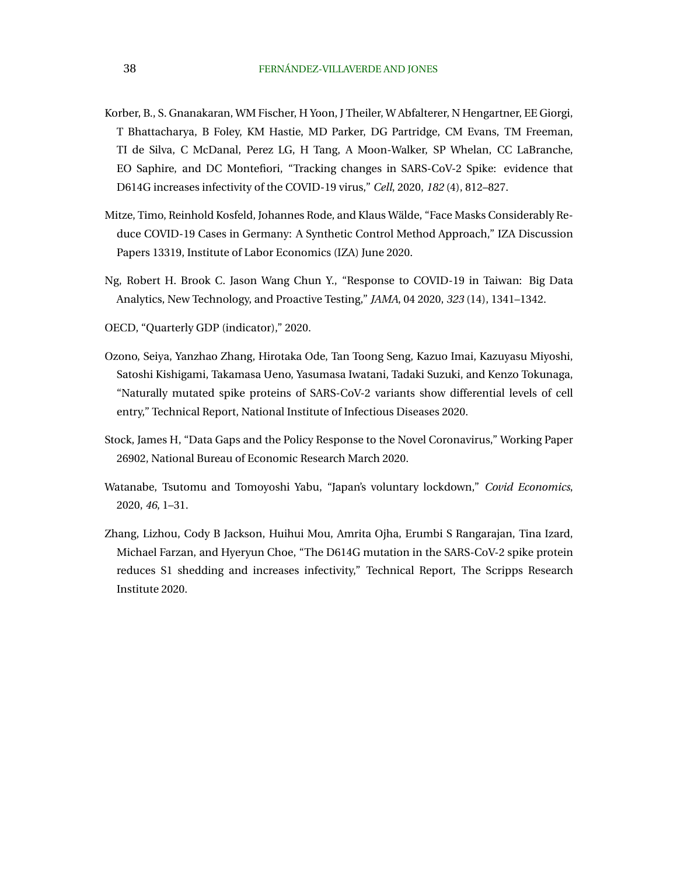- <span id="page-39-0"></span>Korber, B., S. Gnanakaran, WM Fischer, H Yoon, J Theiler, W Abfalterer, N Hengartner, EE Giorgi, T Bhattacharya, B Foley, KM Hastie, MD Parker, DG Partridge, CM Evans, TM Freeman, TI de Silva, C McDanal, Perez LG, H Tang, A Moon-Walker, SP Whelan, CC LaBranche, EO Saphire, and DC Montefiori, "Tracking changes in SARS-CoV-2 Spike: evidence that D614G increases infectivity of the COVID-19 virus," *Cell*, 2020, *182* (4), 812–827.
- Mitze, Timo, Reinhold Kosfeld, Johannes Rode, and Klaus Walde, "Face Masks Considerably Re- ¨ duce COVID-19 Cases in Germany: A Synthetic Control Method Approach," IZA Discussion Papers 13319, Institute of Labor Economics (IZA) June 2020.
- Ng, Robert H. Brook C. Jason Wang Chun Y., "Response to COVID-19 in Taiwan: Big Data Analytics, New Technology, and Proactive Testing," *JAMA*, 04 2020, *323* (14), 1341–1342.
- OECD, "Quarterly GDP (indicator)," 2020.
- Ozono, Seiya, Yanzhao Zhang, Hirotaka Ode, Tan Toong Seng, Kazuo Imai, Kazuyasu Miyoshi, Satoshi Kishigami, Takamasa Ueno, Yasumasa Iwatani, Tadaki Suzuki, and Kenzo Tokunaga, "Naturally mutated spike proteins of SARS-CoV-2 variants show differential levels of cell entry," Technical Report, National Institute of Infectious Diseases 2020.
- Stock, James H, "Data Gaps and the Policy Response to the Novel Coronavirus," Working Paper 26902, National Bureau of Economic Research March 2020.
- Watanabe, Tsutomu and Tomoyoshi Yabu, "Japan's voluntary lockdown," *Covid Economics*, 2020, *46*, 1–31.
- Zhang, Lizhou, Cody B Jackson, Huihui Mou, Amrita Ojha, Erumbi S Rangarajan, Tina Izard, Michael Farzan, and Hyeryun Choe, "The D614G mutation in the SARS-CoV-2 spike protein reduces S1 shedding and increases infectivity," Technical Report, The Scripps Research Institute 2020.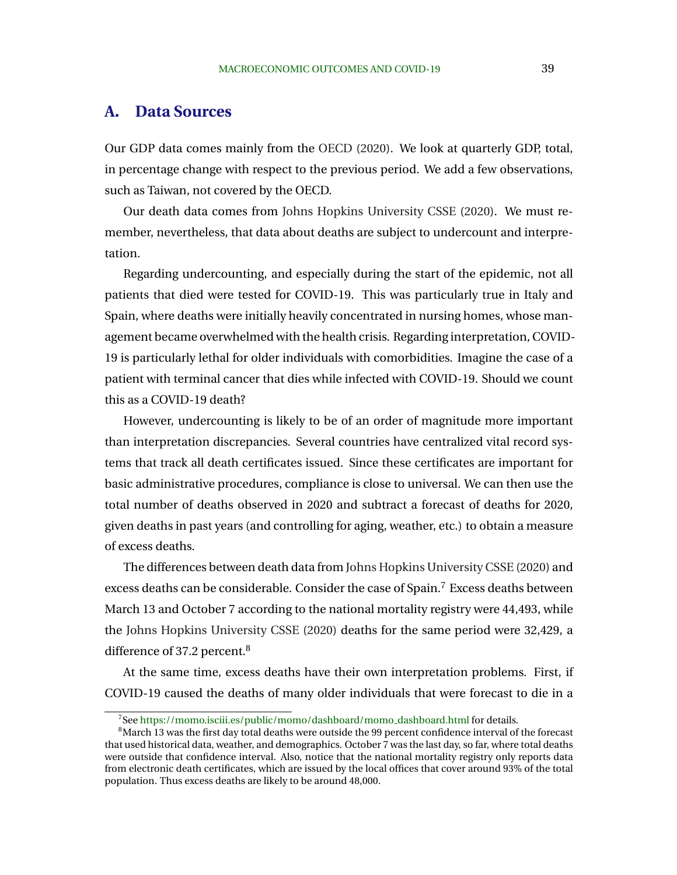# <span id="page-40-0"></span>**A. Data Sources**

Our GDP data comes mainly from the [OECD](#page-39-0) [\(2020\)](#page-39-0). We look at quarterly GDP, total, in percentage change with respect to the previous period. We add a few observations, such as Taiwan, not covered by the OECD.

Our death data comes from [Johns Hopkins University CSSE](#page-38-0) [\(2020\)](#page-38-0). We must remember, nevertheless, that data about deaths are subject to undercount and interpretation.

Regarding undercounting, and especially during the start of the epidemic, not all patients that died were tested for COVID-19. This was particularly true in Italy and Spain, where deaths were initially heavily concentrated in nursing homes, whose management became overwhelmed with the health crisis. Regarding interpretation, COVID-19 is particularly lethal for older individuals with comorbidities. Imagine the case of a patient with terminal cancer that dies while infected with COVID-19. Should we count this as a COVID-19 death?

However, undercounting is likely to be of an order of magnitude more important than interpretation discrepancies. Several countries have centralized vital record systems that track all death certificates issued. Since these certificates are important for basic administrative procedures, compliance is close to universal. We can then use the total number of deaths observed in 2020 and subtract a forecast of deaths for 2020, given deaths in past years (and controlling for aging, weather, etc.) to obtain a measure of excess deaths.

The differences between death data from [Johns Hopkins University CSSE](#page-38-0) [\(2020\)](#page-38-0) and excess deaths can be considerable. Consider the case of Spain.<sup>7</sup> Excess deaths between March 13 and October 7 according to the national mortality registry were 44,493, while the [Johns Hopkins University CSSE](#page-38-0) [\(2020\)](#page-38-0) deaths for the same period were 32,429, a difference of 37.2 percent.<sup>8</sup>

At the same time, excess deaths have their own interpretation problems. First, if COVID-19 caused the deaths of many older individuals that were forecast to die in a

<sup>&</sup>lt;sup>7</sup>See [https://momo.isciii.es/public/momo/dashboard/momo](https://momo.isciii.es/public/momo/dashboard/momo_dashboard.html)\_dashboard.html for details.

<sup>&</sup>lt;sup>8</sup>March 13 was the first day total deaths were outside the 99 percent confidence interval of the forecast that used historical data, weather, and demographics. October 7 was the last day, so far, where total deaths were outside that confidence interval. Also, notice that the national mortality registry only reports data from electronic death certificates, which are issued by the local offices that cover around 93% of the total population. Thus excess deaths are likely to be around 48,000.